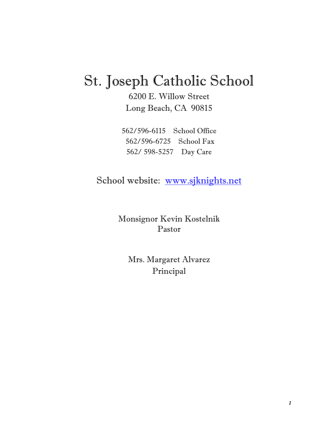# St. Joseph Catholic School

6200 E. Willow Street Long Beach, CA 90815

562/596-6115 School Office 562/596-6725 School Fax 562/ 598-5257 Day Care

School website: www.sjknights.net

Monsignor Kevin Kostelnik Pastor

Mrs. Margaret Alvarez Principal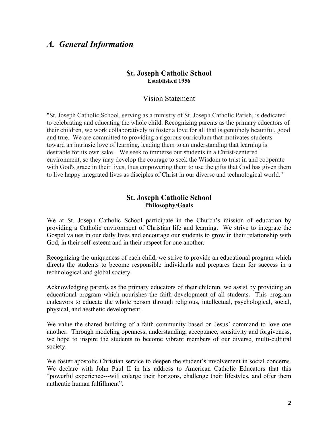# *A. General Information*

#### **St. Joseph Catholic School Established 1956**

#### Vision Statement

"St. Joseph Catholic School, serving as a ministry of St. Joseph Catholic Parish, is dedicated to celebrating and educating the whole child. Recognizing parents as the primary educators of their children, we work collaboratively to foster a love for all that is genuinely beautiful, good and true. We are committed to providing a rigorous curriculum that motivates students toward an intrinsic love of learning, leading them to an understanding that learning is desirable for its own sake. We seek to immerse our students in a Christ-centered environment, so they may develop the courage to seek the Wisdom to trust in and cooperate with God's grace in their lives, thus empowering them to use the gifts that God has given them to live happy integrated lives as disciples of Christ in our diverse and technological world."

#### **St. Joseph Catholic School Philosophy/Goals**

We at St. Joseph Catholic School participate in the Church's mission of education by providing a Catholic environment of Christian life and learning. We strive to integrate the Gospel values in our daily lives and encourage our students to grow in their relationship with God, in their self-esteem and in their respect for one another.

Recognizing the uniqueness of each child, we strive to provide an educational program which directs the students to become responsible individuals and prepares them for success in a technological and global society.

Acknowledging parents as the primary educators of their children, we assist by providing an educational program which nourishes the faith development of all students. This program endeavors to educate the whole person through religious, intellectual, psychological, social, physical, and aesthetic development.

We value the shared building of a faith community based on Jesus' command to love one another. Through modeling openness, understanding, acceptance, sensitivity and forgiveness, we hope to inspire the students to become vibrant members of our diverse, multi-cultural society.

We foster apostolic Christian service to deepen the student's involvement in social concerns. We declare with John Paul II in his address to American Catholic Educators that this "powerful experience---will enlarge their horizons, challenge their lifestyles, and offer them authentic human fulfillment".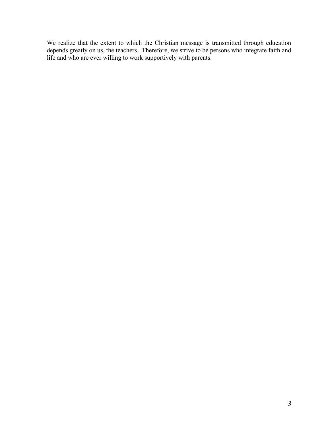We realize that the extent to which the Christian message is transmitted through education depends greatly on us, the teachers. Therefore, we strive to be persons who integrate faith and life and who are ever willing to work supportively with parents.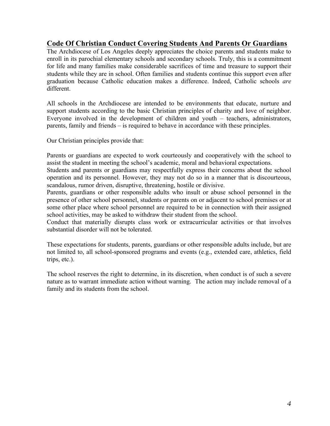# **Code Of Christian Conduct Covering Students And Parents Or Guardians**

The Archdiocese of Los Angeles deeply appreciates the choice parents and students make to enroll in its parochial elementary schools and secondary schools. Truly, this is a commitment for life and many families make considerable sacrifices of time and treasure to support their students while they are in school. Often families and students continue this support even after graduation because Catholic education makes a difference. Indeed, Catholic schools *are* different.

All schools in the Archdiocese are intended to be environments that educate, nurture and support students according to the basic Christian principles of charity and love of neighbor. Everyone involved in the development of children and youth – teachers, administrators, parents, family and friends – is required to behave in accordance with these principles.

Our Christian principles provide that:

Parents or guardians are expected to work courteously and cooperatively with the school to assist the student in meeting the school's academic, moral and behavioral expectations.

Students and parents or guardians may respectfully express their concerns about the school operation and its personnel. However, they may not do so in a manner that is discourteous, scandalous, rumor driven, disruptive, threatening, hostile or divisive.

Parents, guardians or other responsible adults who insult or abuse school personnel in the presence of other school personnel, students or parents on or adjacent to school premises or at some other place where school personnel are required to be in connection with their assigned school activities, may be asked to withdraw their student from the school.

Conduct that materially disrupts class work or extracurricular activities or that involves substantial disorder will not be tolerated.

These expectations for students, parents, guardians or other responsible adults include, but are not limited to, all school-sponsored programs and events (e.g., extended care, athletics, field trips, etc.).

The school reserves the right to determine, in its discretion, when conduct is of such a severe nature as to warrant immediate action without warning. The action may include removal of a family and its students from the school.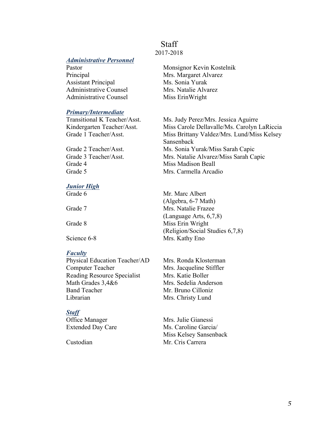#### **Staff** 2017-2018

*Administrative Personnel*

Principal Mrs. Margaret Alvarez Assistant Principal Ms. Sonia Yurak Administrative Counsel Mrs. Natalie Alvarez Administrative Counsel Miss ErinWright

*Primary/Intermediate*

Grade 4 Miss Madison Beall

#### *Junior High*

#### *Faculty*

Physical Education Teacher/AD Mrs. Ronda Klosterman Computer Teacher Mrs. Jacqueline Stiffler Reading Resource Specialist Mrs. Katie Boller Math Grades 3,4&6 Mrs. Sedelia Anderson Band Teacher Mr. Bruno Cilloniz Librarian Mrs. Christy Lund

#### *Staff*

Office Manager Mrs. Julie Gianessi

Pastor Monsignor Kevin Kostelnik

Ms. Judy Perez/Mrs. Jessica Aguirre Kindergarten Teacher/Asst. Miss Carole Dellavalle/Ms. Carolyn LaRiccia Grade 1 Teacher/Asst. Miss Brittany Valdez/Mrs. Lund/Miss Kelsey Sansenback Grade 2 Teacher/Asst. Ms. Sonia Yurak/Miss Sarah Capic Grade 3 Teacher/Asst. Mrs. Natalie Alvarez/Miss Sarah Capic Grade 5 Mrs. Carmella Arcadio

Grade 6 Mr. Marc Albert (Algebra, 6-7 Math) Grade 7 Mrs. Natalie Frazee (Language Arts, 6,7,8) Grade 8 Miss Erin Wright (Religion/Social Studies 6,7,8) Science 6-8 Mrs. Kathy Eno

Extended Day Care Ms. Caroline Garcia/ Miss Kelsey Sansenback Custodian Mr. Cris Carrera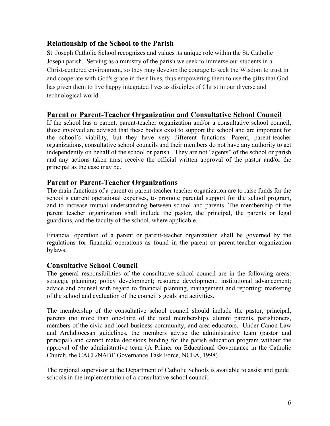# **Relationship of the School to the Parish**

St. Joseph Catholic School recognizes and values its unique role within the St. Catholic Joseph parish. Serving as a ministry of the parish we seek to immerse our students in a Christ-centered environment, so they may develop the courage to seek the Wisdom to trust in and cooperate with God's grace in their lives, thus empowering them to use the gifts that God has given them to live happy integrated lives as disciples of Christ in our diverse and technological world.

# **Parent or Parent-Teacher Organization and Consultative School Council**

If the school has a parent, parent-teacher organization and/or a consultative school council, those involved are advised that these bodies exist to support the school and are important for the school's viability, but they have very different functions. Parent, parent-teacher organizations, consultative school councils and their members do not have any authority to act independently on behalf of the school or parish. They are not "agents" of the school or parish and any actions taken must receive the official written approval of the pastor and/or the principal as the case may be.

#### **Parent or Parent-Teacher Organizations**

The main functions of a parent or parent-teacher teacher organization are to raise funds for the school's current operational expenses, to promote parental support for the school program, and to increase mutual understanding between school and parents. The membership of the parent teacher organization shall include the pastor, the principal, the parents or legal guardians, and the faculty of the school, where applicable.

Financial operation of a parent or parent-teacher organization shall be governed by the regulations for financial operations as found in the parent or parent-teacher organization bylaws.

# **Consultative School Council**

The general responsibilities of the consultative school council are in the following areas: strategic planning; policy development; resource development; institutional advancement; advice and counsel with regard to financial planning, management and reporting; marketing of the school and evaluation of the council's goals and activities.

The membership of the consultative school council should include the pastor, principal, parents (no more than one-third of the total membership), alumni parents, parishioners, members of the civic and local business community, and area educators. Under Canon Law and Archdiocesan guidelines, the members advise the administrative team (pastor and principal) and cannot make decisions binding for the parish education program without the approval of the administrative team (A Primer on Educational Governance in the Catholic Church, the CACE/NABE Governance Task Force, NCEA, 1998).

The regional supervisor at the Department of Catholic Schools is available to assist and guide schools in the implementation of a consultative school council.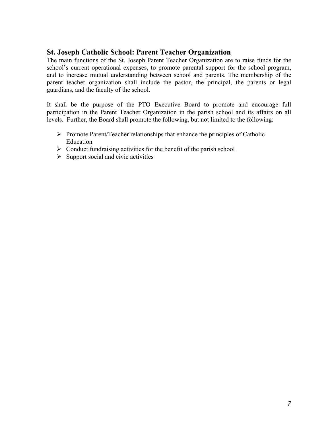# **St. Joseph Catholic School: Parent Teacher Organization**

The main functions of the St. Joseph Parent Teacher Organization are to raise funds for the school's current operational expenses, to promote parental support for the school program, and to increase mutual understanding between school and parents. The membership of the parent teacher organization shall include the pastor, the principal, the parents or legal guardians, and the faculty of the school.

It shall be the purpose of the PTO Executive Board to promote and encourage full participation in the Parent Teacher Organization in the parish school and its affairs on all levels. Further, the Board shall promote the following, but not limited to the following:

- $\triangleright$  Promote Parent/Teacher relationships that enhance the principles of Catholic Education
- $\triangleright$  Conduct fundraising activities for the benefit of the parish school
- $\triangleright$  Support social and civic activities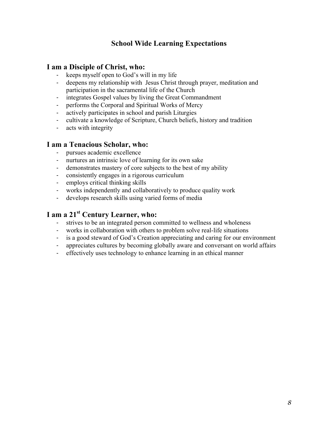# **School Wide Learning Expectations**

#### **I am a Disciple of Christ, who:**

- keeps myself open to God's will in my life
- deepens my relationship with Jesus Christ through prayer, meditation and participation in the sacramental life of the Church
- integrates Gospel values by living the Great Commandment
- performs the Corporal and Spiritual Works of Mercy
- actively participates in school and parish Liturgies
- cultivate a knowledge of Scripture, Church beliefs, history and tradition
- acts with integrity

#### **I am a Tenacious Scholar, who:**

- pursues academic excellence
- nurtures an intrinsic love of learning for its own sake
- demonstrates mastery of core subjects to the best of my ability
- consistently engages in a rigorous curriculum
- employs critical thinking skills
- works independently and collaboratively to produce quality work
- develops research skills using varied forms of media

# **I am a 21st Century Learner, who:**

- strives to be an integrated person committed to wellness and wholeness
- works in collaboration with others to problem solve real-life situations
- is a good steward of God's Creation appreciating and caring for our environment
- appreciates cultures by becoming globally aware and conversant on world affairs
- effectively uses technology to enhance learning in an ethical manner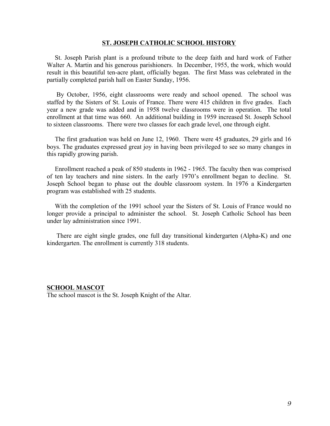#### **ST. JOSEPH CATHOLIC SCHOOL HISTORY**

 St. Joseph Parish plant is a profound tribute to the deep faith and hard work of Father Walter A. Martin and his generous parishioners. In December, 1955, the work, which would result in this beautiful ten-acre plant, officially began. The first Mass was celebrated in the partially completed parish hall on Easter Sunday, 1956.

 By October, 1956, eight classrooms were ready and school opened. The school was staffed by the Sisters of St. Louis of France. There were 415 children in five grades. Each year a new grade was added and in 1958 twelve classrooms were in operation. The total enrollment at that time was 660. An additional building in 1959 increased St. Joseph School to sixteen classrooms. There were two classes for each grade level, one through eight.

 The first graduation was held on June 12, 1960. There were 45 graduates, 29 girls and 16 boys. The graduates expressed great joy in having been privileged to see so many changes in this rapidly growing parish.

 Enrollment reached a peak of 850 students in 1962 - 1965. The faculty then was comprised of ten lay teachers and nine sisters. In the early 1970's enrollment began to decline. St. Joseph School began to phase out the double classroom system. In 1976 a Kindergarten program was established with 25 students.

 With the completion of the 1991 school year the Sisters of St. Louis of France would no longer provide a principal to administer the school. St. Joseph Catholic School has been under lay administration since 1991.

 There are eight single grades, one full day transitional kindergarten (Alpha-K) and one kindergarten. The enrollment is currently 318 students.

#### **SCHOOL MASCOT**

The school mascot is the St. Joseph Knight of the Altar.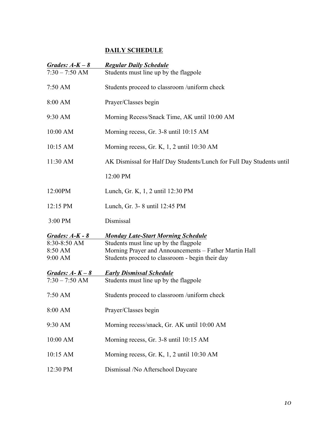#### **DAILY SCHEDULE**

| Grades: $A-K-8$                         | <b>Regular Daily Schedule</b>                                                                            |
|-----------------------------------------|----------------------------------------------------------------------------------------------------------|
| $7:30 - 7:50$ AM                        | Students must line up by the flagpole                                                                    |
| 7:50 AM                                 | Students proceed to classroom/uniform check                                                              |
| 8:00 AM                                 | Prayer/Classes begin                                                                                     |
| 9:30 AM                                 | Morning Recess/Snack Time, AK until 10:00 AM                                                             |
| 10:00 AM                                | Morning recess, Gr. 3-8 until 10:15 AM                                                                   |
| 10:15 AM                                | Morning recess, Gr. K, 1, 2 until 10:30 AM                                                               |
| 11:30 AM                                | AK Dismissal for Half Day Students/Lunch for Full Day Students until                                     |
|                                         | 12:00 PM                                                                                                 |
| 12:00PM                                 | Lunch, Gr. K, 1, 2 until 12:30 PM                                                                        |
| 12:15 PM                                | Lunch, Gr. 3-8 until 12:45 PM                                                                            |
| 3:00 PM                                 | Dismissal                                                                                                |
| Grades: $A-K - 8$                       | <b>Monday Late-Start Morning Schedule</b>                                                                |
| 8:30-8:50 AM                            | Students must line up by the flagpole                                                                    |
| 8:50 AM<br>9:00 AM                      | Morning Prayer and Announcements - Father Martin Hall<br>Students proceed to classroom - begin their day |
|                                         |                                                                                                          |
| Grades: $A - K - 8$<br>$7:30 - 7:50$ AM | <b>Early Dismissal Schedule</b><br>Students must line up by the flagpole                                 |
| 7:50 AM                                 | Students proceed to classroom/uniform check                                                              |
| 8:00 AM                                 | Prayer/Classes begin                                                                                     |
| 9:30 AM                                 | Morning recess/snack, Gr. AK until 10:00 AM                                                              |
| 10:00 AM                                | Morning recess, Gr. 3-8 until 10:15 AM                                                                   |
| 10:15 AM                                | Morning recess, Gr. K, 1, 2 until 10:30 AM                                                               |
| 12:30 PM                                | Dismissal /No Afterschool Daycare                                                                        |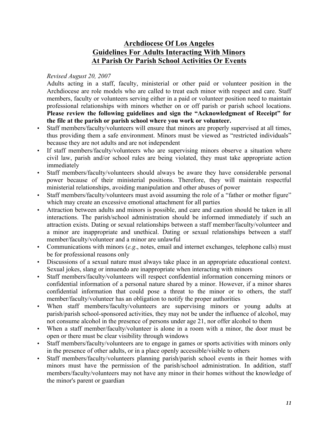# **Archdiocese Of Los Angeles Guidelines For Adults Interacting With Minors At Parish Or Parish School Activities Or Events**

#### *Revised August 20, 2007*

Adults acting in a staff, faculty, ministerial or other paid or volunteer position in the Archdiocese are role models who are called to treat each minor with respect and care. Staff members, faculty or volunteers serving either in a paid or volunteer position need to maintain professional relationships with minors whether on or off parish or parish school locations. **Please review the following guidelines and sign the "Acknowledgment of Receipt" for the file at the parish or parish school where you work or volunteer.** 

- Staff members/faculty/volunteers will ensure that minors are properly supervised at all times, thus providing them a safe environment. Minors must be viewed as "restricted individuals" because they are not adults and are not independent
- If staff members/faculty/volunteers who are supervising minors observe a situation where civil law, parish and/or school rules are being violated, they must take appropriate action immediately
- Staff members/faculty/volunteers should always be aware they have considerable personal power because of their ministerial positions. Therefore, they will maintain respectful ministerial relationships, avoiding manipulation and other abuses of power
- Staff members/faculty/volunteers must avoid assuming the role of a "father or mother figure" which may create an excessive emotional attachment for all parties
- Attraction between adults and minors is possible, and care and caution should be taken in all interactions. The parish/school administration should be informed immediately if such an attraction exists. Dating or sexual relationships between a staff member/faculty/volunteer and a minor are inappropriate and unethical. Dating or sexual relationships between a staff member/faculty/volunteer and a minor are unlawful
- Communications with minors (*e.g*., notes, email and internet exchanges, telephone calls) must be for professional reasons only
- Discussions of a sexual nature must always take place in an appropriate educational context. Sexual jokes, slang or innuendo are inappropriate when interacting with minors
- Staff members/faculty/volunteers will respect confidential information concerning minors or confidential information of a personal nature shared by a minor. However, if a minor shares confidential information that could pose a threat to the minor or to others, the staff member/faculty/volunteer has an obligation to notify the proper authorities
- When staff members/faculty/volunteers are supervising minors or young adults at parish/parish school-sponsored activities, they may not be under the influence of alcohol, may not consume alcohol in the presence of persons under age 21, nor offer alcohol to them
- When a staff member/faculty/volunteer is alone in a room with a minor, the door must be open or there must be clear visibility through windows
- Staff members/faculty/volunteers are to engage in games or sports activities with minors only in the presence of other adults, or in a place openly accessible/visible to others
- Staff members/faculty/volunteers planning parish/parish school events in their homes with minors must have the permission of the parish/school administration. In addition, staff members/faculty/volunteers may not have any minor in their homes without the knowledge of the minor's parent or guardian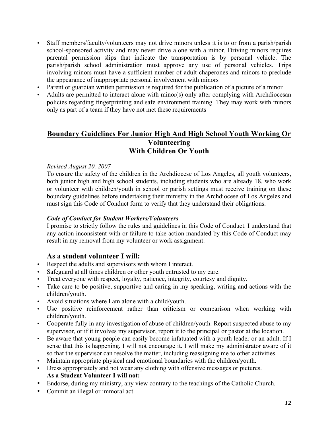- Staff members/faculty/volunteers may not drive minors unless it is to or from a parish/parish school-sponsored activity and may never drive alone with a minor. Driving minors requires parental permission slips that indicate the transportation is by personal vehicle. The parish/parish school administration must approve any use of personal vehicles. Trips involving minors must have a sufficient number of adult chaperones and minors to preclude the appearance of inappropriate personal involvement with minors
- Parent or guardian written permission is required for the publication of a picture of a minor
- Adults are permitted to interact alone with minor(s) only after complying with Archdiocesan policies regarding fingerprinting and safe environment training. They may work with minors only as part of a team if they have not met these requirements

#### **Boundary Guidelines For Junior High And High School Youth Working Or Volunteering With Children Or Youth**

#### *Revised August 20, 2007*

To ensure the safety of the children in the Archdiocese of Los Angeles, all youth volunteers, both junior high and high school students, including students who are already 18, who work or volunteer with children/youth in school or parish settings must receive training on these boundary guidelines before undertaking their ministry in the Archdiocese of Los Angeles and must sign this Code of Conduct form to verify that they understand their obligations.

#### *Code of Conduct for Student Workers/Volunteers*

I promise to strictly follow the rules and guidelines in this Code of Conduct. I understand that any action inconsistent with or failure to take action mandated by this Code of Conduct may result in my removal from my volunteer or work assignment.

#### **As a student volunteer I will:**

- Respect the adults and supervisors with whom I interact.
- Safeguard at all times children or other youth entrusted to my care.
- Treat everyone with respect, loyalty, patience, integrity, courtesy and dignity.
- Take care to be positive, supportive and caring in my speaking, writing and actions with the children/youth.
- Avoid situations where I am alone with a child/youth.
- Use positive reinforcement rather than criticism or comparison when working with children/youth.
- Cooperate fully in any investigation of abuse of children/youth. Report suspected abuse to my supervisor, or if it involves my supervisor, report it to the principal or pastor at the location.
- Be aware that young people can easily become infatuated with a youth leader or an adult. If I sense that this is happening. I will not encourage it. I will make my administrator aware of it so that the supervisor can resolve the matter, including reassigning me to other activities.
- Maintain appropriate physical and emotional boundaries with the children/youth.
- Dress appropriately and not wear any clothing with offensive messages or pictures. **As a Student Volunteer I will not:**
- Endorse, during my ministry, any view contrary to the teachings of the Catholic Church.
- Commit an illegal or immoral act.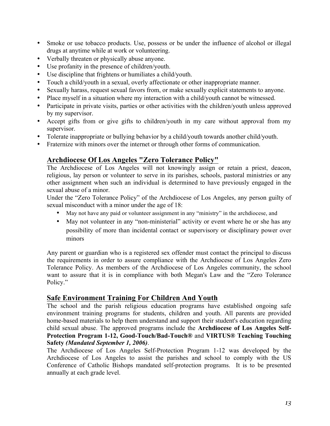- Smoke or use tobacco products. Use, possess or be under the influence of alcohol or illegal drugs at anytime while at work or volunteering.
- Verbally threaten or physically abuse anyone.
- Use profanity in the presence of children/youth.
- Use discipline that frightens or humiliates a child/youth.
- Touch a child/youth in a sexual, overly affectionate or other inappropriate manner.
- Sexually harass, request sexual favors from, or make sexually explicit statements to anyone.
- Place myself in a situation where my interaction with a child/youth cannot be witnessed.<br>• Participate in private visits parties or other activities with the children/youth unless ann
- Participate in private visits, parties or other activities with the children/youth unless approved by my supervisor.
- Accept gifts from or give gifts to children/youth in my care without approval from my supervisor.
- Tolerate inappropriate or bullying behavior by a child/youth towards another child/youth.
- Fraternize with minors over the internet or through other forms of communication.

#### **Archdiocese Of Los Angeles "Zero Tolerance Policy"**

The Archdiocese of Los Angeles will not knowingly assign or retain a priest, deacon, religious, lay person or volunteer to serve in its parishes, schools, pastoral ministries or any other assignment when such an individual is determined to have previously engaged in the sexual abuse of a minor.

Under the "Zero Tolerance Policy" of the Archdiocese of Los Angeles, any person guilty of sexual misconduct with a minor under the age of 18:

- May not have any paid or volunteer assignment in any "ministry" in the archdiocese, and
- May not volunteer in any "non-ministerial" activity or event where he or she has any possibility of more than incidental contact or supervisory or disciplinary power over minors

Any parent or guardian who is a registered sex offender must contact the principal to discuss the requirements in order to assure compliance with the Archdiocese of Los Angeles Zero Tolerance Policy. As members of the Archdiocese of Los Angeles community, the school want to assure that it is in compliance with both Megan's Law and the "Zero Tolerance Policy."

#### **Safe Environment Training For Children And Youth**

The school and the parish religious education programs have established ongoing safe environment training programs for students, children and youth. All parents are provided home-based materials to help them understand and support their student's education regarding child sexual abuse. The approved programs include the **Archdiocese of Los Angeles Self-Protection Program 1-12, Good-Touch/Bad-Touch®** and **VIRTUS® Teaching Touching Safety** *(Mandated September 1, 2006)*.

The Archdiocese of Los Angeles Self-Protection Program 1-12 was developed by the Archdiocese of Los Angeles to assist the parishes and school to comply with the US Conference of Catholic Bishops mandated self-protection programs. It is to be presented annually at each grade level.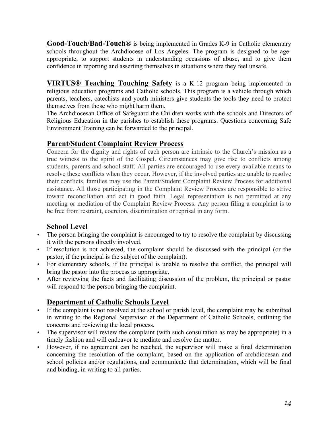**Good-Touch/Bad-Touch®** is being implemented in Grades K-9 in Catholic elementary schools throughout the Archdiocese of Los Angeles. The program is designed to be ageappropriate, to support students in understanding occasions of abuse, and to give them confidence in reporting and asserting themselves in situations where they feel unsafe.

**VIRTUS® Teaching Touching Safety** is a K-12 program being implemented in religious education programs and Catholic schools. This program is a vehicle through which parents, teachers, catechists and youth ministers give students the tools they need to protect themselves from those who might harm them.

The Archdiocesan Office of Safeguard the Children works with the schools and Directors of Religious Education in the parishes to establish these programs. Questions concerning Safe Environment Training can be forwarded to the principal.

#### **Parent/Student Complaint Review Process**

Concern for the dignity and rights of each person are intrinsic to the Church's mission as a true witness to the spirit of the Gospel. Circumstances may give rise to conflicts among students, parents and school staff. All parties are encouraged to use every available means to resolve these conflicts when they occur. However, if the involved parties are unable to resolve their conflicts, families may use the Parent/Student Complaint Review Process for additional assistance. All those participating in the Complaint Review Process are responsible to strive toward reconciliation and act in good faith. Legal representation is not permitted at any meeting or mediation of the Complaint Review Process. Any person filing a complaint is to be free from restraint, coercion, discrimination or reprisal in any form.

# **School Level**

- The person bringing the complaint is encouraged to try to resolve the complaint by discussing it with the persons directly involved.
- If resolution is not achieved, the complaint should be discussed with the principal (or the pastor, if the principal is the subject of the complaint).
- For elementary schools, if the principal is unable to resolve the conflict, the principal will bring the pastor into the process as appropriate.
- After reviewing the facts and facilitating discussion of the problem, the principal or pastor will respond to the person bringing the complaint.

# **Department of Catholic Schools Level**

- If the complaint is not resolved at the school or parish level, the complaint may be submitted in writing to the Regional Supervisor at the Department of Catholic Schools, outlining the concerns and reviewing the local process.
- The supervisor will review the complaint (with such consultation as may be appropriate) in a timely fashion and will endeavor to mediate and resolve the matter.
- However, if no agreement can be reached, the supervisor will make a final determination concerning the resolution of the complaint, based on the application of archdiocesan and school policies and/or regulations, and communicate that determination, which will be final and binding, in writing to all parties.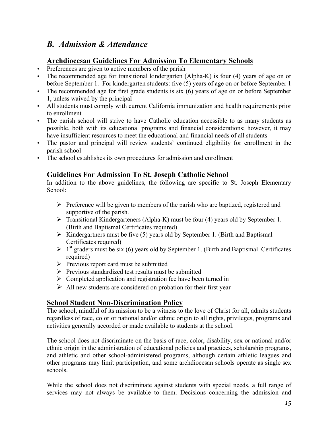# *B. Admission & Attendance*

#### **Archdiocesan Guidelines For Admission To Elementary Schools**

- Preferences are given to active members of the parish
- The recommended age for transitional kindergarten (Alpha-K) is four (4) years of age on or before September 1. For kindergarten students: five (5) years of age on or before September 1
- The recommended age for first grade students is six (6) years of age on or before September 1, unless waived by the principal
- All students must comply with current California immunization and health requirements prior to enrollment
- The parish school will strive to have Catholic education accessible to as many students as possible, both with its educational programs and financial considerations; however, it may have insufficient resources to meet the educational and financial needs of all students
- The pastor and principal will review students' continued eligibility for enrollment in the parish school
- The school establishes its own procedures for admission and enrollment

# **Guidelines For Admission To St. Joseph Catholic School**

In addition to the above guidelines, the following are specific to St. Joseph Elementary School:

- $\triangleright$  Preference will be given to members of the parish who are baptized, registered and supportive of the parish.
- $\triangleright$  Transitional Kindergarteners (Alpha-K) must be four (4) years old by September 1. (Birth and Baptismal Certificates required)
- $\triangleright$  Kindergartners must be five (5) years old by September 1. (Birth and Baptismal Certificates required)
- $\geq 1$ <sup>st</sup> graders must be six (6) years old by September 1. (Birth and Baptismal Certificates required)
- $\triangleright$  Previous report card must be submitted
- $\triangleright$  Previous standardized test results must be submitted
- $\triangleright$  Completed application and registration fee have been turned in
- $\triangleright$  All new students are considered on probation for their first year

# **School Student Non-Discrimination Policy**

The school, mindful of its mission to be a witness to the love of Christ for all, admits students regardless of race, color or national and/or ethnic origin to all rights, privileges, programs and activities generally accorded or made available to students at the school.

The school does not discriminate on the basis of race, color, disability, sex or national and/or ethnic origin in the administration of educational policies and practices, scholarship programs, and athletic and other school-administered programs, although certain athletic leagues and other programs may limit participation, and some archdiocesan schools operate as single sex schools.

While the school does not discriminate against students with special needs, a full range of services may not always be available to them. Decisions concerning the admission and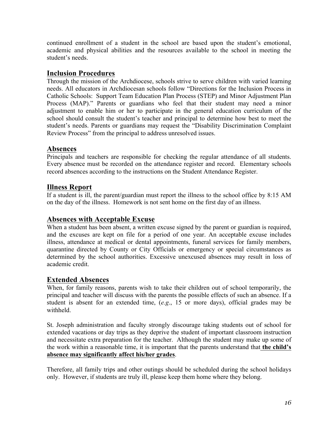continued enrollment of a student in the school are based upon the student's emotional, academic and physical abilities and the resources available to the school in meeting the student's needs.

#### **Inclusion Procedures**

Through the mission of the Archdiocese, schools strive to serve children with varied learning needs. All educators in Archdiocesan schools follow "Directions for the Inclusion Process in Catholic Schools: Support Team Education Plan Process (STEP) and Minor Adjustment Plan Process (MAP)." Parents or guardians who feel that their student may need a minor adjustment to enable him or her to participate in the general education curriculum of the school should consult the student's teacher and principal to determine how best to meet the student's needs. Parents or guardians may request the "Disability Discrimination Complaint Review Process" from the principal to address unresolved issues.

#### **Absences**

Principals and teachers are responsible for checking the regular attendance of all students. Every absence must be recorded on the attendance register and record. Elementary schools record absences according to the instructions on the Student Attendance Register.

#### **Illness Report**

If a student is ill, the parent/guardian must report the illness to the school office by 8:15 AM on the day of the illness. Homework is not sent home on the first day of an illness.

#### **Absences with Acceptable Excuse**

When a student has been absent, a written excuse signed by the parent or guardian is required, and the excuses are kept on file for a period of one year. An acceptable excuse includes illness, attendance at medical or dental appointments, funeral services for family members, quarantine directed by County or City Officials or emergency or special circumstances as determined by the school authorities. Excessive unexcused absences may result in loss of academic credit.

#### **Extended Absences**

When, for family reasons, parents wish to take their children out of school temporarily, the principal and teacher will discuss with the parents the possible effects of such an absence. If a student is absent for an extended time, (*e.g*., 15 or more days), official grades may be withheld.

St. Joseph administration and faculty strongly discourage taking students out of school for extended vacations or day trips as they deprive the student of important classroom instruction and necessitate extra preparation for the teacher. Although the student may make up some of the work within a reasonable time, it is important that the parents understand that **the child's absence may significantly affect his/her grades**.

Therefore, all family trips and other outings should be scheduled during the school holidays only. However, if students are truly ill, please keep them home where they belong.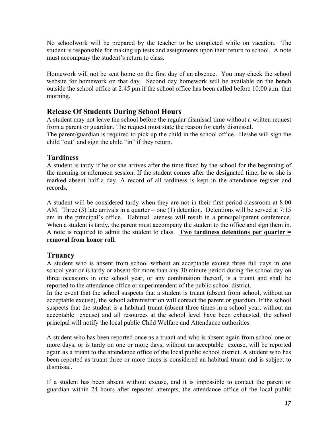No schoolwork will be prepared by the teacher to be completed while on vacation. The student is responsible for making up tests and assignments upon their return to school. A note must accompany the student's return to class.

Homework will not be sent home on the first day of an absence. You may check the school website for homework on that day. Second day homework will be available on the bench outside the school office at 2:45 pm if the school office has been called before 10:00 a.m. that morning.

# **Release Of Students During School Hours**

A student may not leave the school before the regular dismissal time without a written request from a parent or guardian. The request must state the reason for early dismissal. The parent/guardian is required to pick up the child in the school office. He/she will sign the child "out" and sign the child "in" if they return.

# **Tardiness**

A student is tardy if he or she arrives after the time fixed by the school for the beginning of the morning or afternoon session. If the student comes after the designated time, he or she is marked absent half a day. A record of all tardiness is kept in the attendance register and records.

A student will be considered tardy when they are not in their first period classroom at 8:00 AM. Three (3) late arrivals in a quarter = one (1) detention. Detentions will be served at  $7:15$ am in the principal's office. Habitual lateness will result in a principal/parent conference. When a student is tardy, the parent must accompany the student to the office and sign them in. A note is required to admit the student to class. **Two tardiness detentions per quarter = removal from honor roll.**

# **Truancy**

A student who is absent from school without an acceptable excuse three full days in one school year or is tardy or absent for more than any 30 minute period during the school day on three occasions in one school year, or any combination thereof, is a truant and shall be reported to the attendance office or superintendent of the public school district.

In the event that the school suspects that a student is truant (absent from school, without an acceptable excuse), the school administration will contact the parent or guardian. If the school suspects that the student is a habitual truant (absent three times in a school year, without an acceptable excuse) and all resources at the school level have been exhausted, the school principal will notify the local public Child Welfare and Attendance authorities.

A student who has been reported once as a truant and who is absent again from school one or more days, or is tardy on one or more days, without an acceptable excuse, will be reported again as a truant to the attendance office of the local public school district. A student who has been reported as truant three or more times is considered an habitual truant and is subject to dismissal.

If a student has been absent without excuse, and it is impossible to contact the parent or guardian within 24 hours after repeated attempts, the attendance office of the local public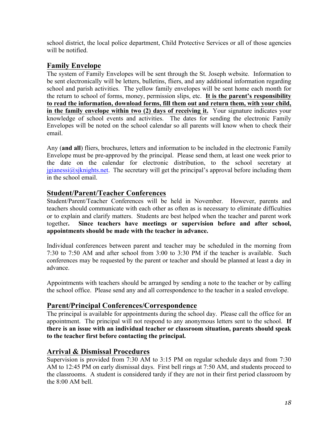school district, the local police department, Child Protective Services or all of those agencies will be notified.

# **Family Envelope**

The system of Family Envelopes will be sent through the St. Joseph website. Information to be sent electronically will be letters, bulletins, fliers, and any additional information regarding school and parish activities. The yellow family envelopes will be sent home each month for the return to school of forms, money, permission slips, etc. **It is the parent's responsibility to read the information, download forms, fill them out and return them, with your child, in the family envelope within two (2) days of receiving it.** Your signature indicates your knowledge of school events and activities. The dates for sending the electronic Family Envelopes will be noted on the school calendar so all parents will know when to check their email.

Any (**and all**) fliers, brochures, letters and information to be included in the electronic Family Envelope must be pre-approved by the principal. Please send them, at least one week prior to the date on the calendar for electronic distribution, to the school secretary at  $j_{\text{gianess}}(a_{\text{s}j}$  knights.net. The secretary will get the principal's approval before including them in the school email.

# **Student/Parent/Teacher Conferences**

Student/Parent/Teacher Conferences will be held in November. However, parents and teachers should communicate with each other as often as is necessary to eliminate difficulties or to explain and clarify matters. Students are best helped when the teacher and parent work together**. Since teachers have meetings or supervision before and after school, appointments should be made with the teacher in advance.**

Individual conferences between parent and teacher may be scheduled in the morning from 7:30 to 7:50 AM and after school from 3:00 to 3:30 PM if the teacher is available. Such conferences may be requested by the parent or teacher and should be planned at least a day in advance.

Appointments with teachers should be arranged by sending a note to the teacher or by calling the school office. Please send any and all correspondence to the teacher in a sealed envelope.

# **Parent/Principal Conferences/Correspondence**

The principal is available for appointments during the school day. Please call the office for an appointment. The principal will not respond to any anonymous letters sent to the school. **If there is an issue with an individual teacher or classroom situation, parents should speak to the teacher first before contacting the principal.**

# **Arrival & Dismissal Procedures**

Supervision is provided from 7:30 AM to 3:15 PM on regular schedule days and from 7:30 AM to 12:45 PM on early dismissal days. First bell rings at 7:50 AM, and students proceed to the classrooms. A student is considered tardy if they are not in their first period classroom by the 8:00 AM bell.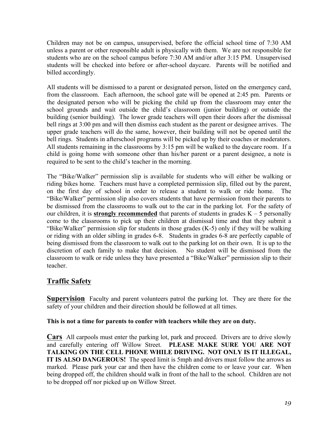Children may not be on campus, unsupervised, before the official school time of 7:30 AM unless a parent or other responsible adult is physically with them. We are not responsible for students who are on the school campus before 7:30 AM and/or after 3:15 PM. Unsupervised students will be checked into before or after-school daycare. Parents will be notified and billed accordingly.

All students will be dismissed to a parent or designated person, listed on the emergency card, from the classroom. Each afternoon, the school gate will be opened at 2:45 pm. Parents or the designated person who will be picking the child up from the classroom may enter the school grounds and wait outside the child's classroom (junior building) or outside the building (senior building). The lower grade teachers will open their doors after the dismissal bell rings at 3:00 pm and will then dismiss each student as the parent or designee arrives. The upper grade teachers will do the same, however, their building will not be opened until the bell rings. Students in afterschool programs will be picked up by their coaches or moderators. All students remaining in the classrooms by 3:15 pm will be walked to the daycare room. If a child is going home with someone other than his/her parent or a parent designee, a note is required to be sent to the child's teacher in the morning.

The "Bike/Walker" permission slip is available for students who will either be walking or riding bikes home. Teachers must have a completed permission slip, filled out by the parent, on the first day of school in order to release a student to walk or ride home. The "Bike/Walker" permission slip also covers students that have permission from their parents to be dismissed from the classrooms to walk out to the car in the parking lot. For the safety of our children, it is **strongly recommended** that parents of students in grades  $K - 5$  personally come to the classrooms to pick up their children at dismissal time and that they submit a "Bike/Walker" permission slip for students in those grades (K-5) only if they will be walking or riding with an older sibling in grades 6-8. Students in grades 6-8 are perfectly capable of being dismissed from the classroom to walk out to the parking lot on their own. It is up to the discretion of each family to make that decision. No student will be dismissed from the classroom to walk or ride unless they have presented a "Bike/Walker" permission slip to their teacher.

# **Traffic Safety**

**Supervision** Faculty and parent volunteers patrol the parking lot. They are there for the safety of your children and their direction should be followed at all times.

#### **This is not a time for parents to confer with teachers while they are on duty.**

**Cars** All carpools must enter the parking lot, park and proceed. Drivers are to drive slowly and carefully entering off Willow Street. **PLEASE MAKE SURE YOU ARE NOT TALKING ON THE CELL PHONE WHILE DRIVING. NOT ONLY IS IT ILLEGAL, IT IS ALSO DANGEROUS!** The speed limit is 5mph and drivers must follow the arrows as marked. Please park your car and then have the children come to or leave your car. When being dropped off, the children should walk in front of the hall to the school. Children are not to be dropped off nor picked up on Willow Street.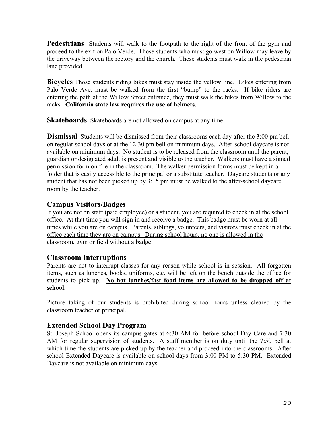**Pedestrians** Students will walk to the footpath to the right of the front of the gym and proceed to the exit on Palo Verde. Those students who must go west on Willow may leave by the driveway between the rectory and the church. These students must walk in the pedestrian lane provided.

**Bicycles** Those students riding bikes must stay inside the yellow line. Bikes entering from Palo Verde Ave. must be walked from the first "bump" to the racks. If bike riders are entering the path at the Willow Street entrance, they must walk the bikes from Willow to the racks. **California state law requires the use of helmets**.

**Skateboards** Skateboards are not allowed on campus at any time.

**Dismissal** Students will be dismissed from their classrooms each day after the 3:00 pm bell on regular school days or at the 12:30 pm bell on minimum days. After-school daycare is not available on minimum days. No student is to be released from the classroom until the parent, guardian or designated adult is present and visible to the teacher. Walkers must have a signed permission form on file in the classroom. The walker permission forms must be kept in a folder that is easily accessible to the principal or a substitute teacher. Daycare students or any student that has not been picked up by 3:15 pm must be walked to the after-school daycare room by the teacher.

#### **Campus Visitors/Badges**

If you are not on staff (paid employee) or a student, you are required to check in at the school office. At that time you will sign in and receive a badge. This badge must be worn at all times while you are on campus. Parents, siblings, volunteers, and visitors must check in at the office each time they are on campus. During school hours, no one is allowed in the classroom, gym or field without a badge!

#### **Classroom Interruptions**

Parents are not to interrupt classes for any reason while school is in session. All forgotten items, such as lunches, books, uniforms, etc. will be left on the bench outside the office for students to pick up. **No hot lunches/fast food items are allowed to be dropped off at school**.

Picture taking of our students is prohibited during school hours unless cleared by the classroom teacher or principal.

#### **Extended School Day Program**

St. Joseph School opens its campus gates at 6:30 AM for before school Day Care and 7:30 AM for regular supervision of students. A staff member is on duty until the 7:50 bell at which time the students are picked up by the teacher and proceed into the classrooms. After school Extended Daycare is available on school days from 3:00 PM to 5:30 PM. Extended Daycare is not available on minimum days.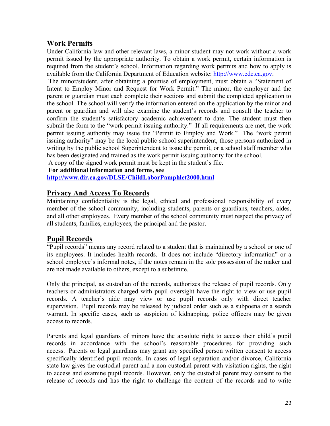#### **Work Permits**

Under California law and other relevant laws, a minor student may not work without a work permit issued by the appropriate authority. To obtain a work permit, certain information is required from the student's school. Information regarding work permits and how to apply is available from the California Department of Education website: http://www.cde.ca.gov.

The minor/student, after obtaining a promise of employment, must obtain a "Statement of Intent to Employ Minor and Request for Work Permit." The minor, the employer and the parent or guardian must each complete their sections and submit the completed application to the school. The school will verify the information entered on the application by the minor and parent or guardian and will also examine the student's records and consult the teacher to confirm the student's satisfactory academic achievement to date. The student must then submit the form to the "work permit issuing authority." If all requirements are met, the work permit issuing authority may issue the "Permit to Employ and Work." The "work permit issuing authority" may be the local public school superintendent, those persons authorized in writing by the public school Superintendent to issue the permit, or a school staff member who has been designated and trained as the work permit issuing authority for the school.

A copy of the signed work permit must be kept in the student's file.

#### **For additional information and forms, see**

**http://www.dir.ca.gov/DLSE/ChildLaborPamphlet2000.html**

#### **Privacy And Access To Records**

Maintaining confidentiality is the legal, ethical and professional responsibility of every member of the school community, including students, parents or guardians, teachers, aides, and all other employees. Every member of the school community must respect the privacy of all students, families, employees, the principal and the pastor.

#### **Pupil Records**

"Pupil records" means any record related to a student that is maintained by a school or one of its employees. It includes health records. It does not include "directory information" or a school employee's informal notes, if the notes remain in the sole possession of the maker and are not made available to others, except to a substitute.

Only the principal, as custodian of the records, authorizes the release of pupil records. Only teachers or administrators charged with pupil oversight have the right to view or use pupil records. A teacher's aide may view or use pupil records only with direct teacher supervision. Pupil records may be released by judicial order such as a subpoena or a search warrant. In specific cases, such as suspicion of kidnapping, police officers may be given access to records.

Parents and legal guardians of minors have the absolute right to access their child's pupil records in accordance with the school's reasonable procedures for providing such access. Parents or legal guardians may grant any specified person written consent to access specifically identified pupil records. In cases of legal separation and/or divorce, California state law gives the custodial parent and a non-custodial parent with visitation rights, the right to access and examine pupil records. However, only the custodial parent may consent to the release of records and has the right to challenge the content of the records and to write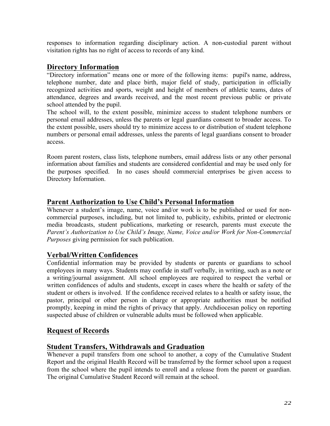responses to information regarding disciplinary action. A non-custodial parent without visitation rights has no right of access to records of any kind.

#### **Directory Information**

"Directory information" means one or more of the following items: pupil's name, address, telephone number, date and place birth, major field of study, participation in officially recognized activities and sports, weight and height of members of athletic teams, dates of attendance, degrees and awards received, and the most recent previous public or private school attended by the pupil.

The school will, to the extent possible, minimize access to student telephone numbers or personal email addresses, unless the parents or legal guardians consent to broader access. To the extent possible, users should try to minimize access to or distribution of student telephone numbers or personal email addresses, unless the parents of legal guardians consent to broader access.

Room parent rosters, class lists, telephone numbers, email address lists or any other personal information about families and students are considered confidential and may be used only for the purposes specified. In no cases should commercial enterprises be given access to Directory Information.

# **Parent Authorization to Use Child's Personal Information**

Whenever a student's image, name, voice and/or work is to be published or used for noncommercial purposes, including, but not limited to, publicity, exhibits, printed or electronic media broadcasts, student publications, marketing or research, parents must execute the *Parent's Authorization to Use Child's Image, Name, Voice and/or Work for Non-Commercial Purposes* giving permission for such publication.

#### **Verbal/Written Confidences**

Confidential information may be provided by students or parents or guardians to school employees in many ways. Students may confide in staff verbally, in writing, such as a note or a writing/journal assignment. All school employees are required to respect the verbal or written confidences of adults and students, except in cases where the health or safety of the student or others is involved. If the confidence received relates to a health or safety issue, the pastor, principal or other person in charge or appropriate authorities must be notified promptly, keeping in mind the rights of privacy that apply. Archdiocesan policy on reporting suspected abuse of children or vulnerable adults must be followed when applicable.

# **Request of Records**

#### **Student Transfers, Withdrawals and Graduation**

Whenever a pupil transfers from one school to another, a copy of the Cumulative Student Report and the original Health Record will be transferred by the former school upon a request from the school where the pupil intends to enroll and a release from the parent or guardian. The original Cumulative Student Record will remain at the school.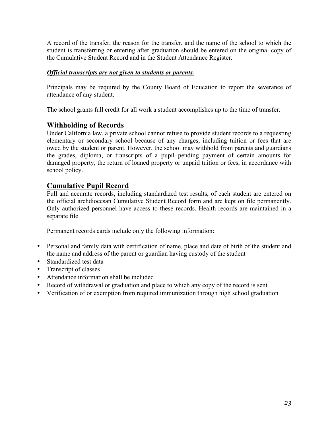A record of the transfer, the reason for the transfer, and the name of the school to which the student is transferring or entering after graduation should be entered on the original copy of the Cumulative Student Record and in the Student Attendance Register.

#### *Official transcripts are not given to students or parents.*

Principals may be required by the County Board of Education to report the severance of attendance of any student.

The school grants full credit for all work a student accomplishes up to the time of transfer.

# **Withholding of Records**

Under California law, a private school cannot refuse to provide student records to a requesting elementary or secondary school because of any charges, including tuition or fees that are owed by the student or parent. However, the school may withhold from parents and guardians the grades, diploma, or transcripts of a pupil pending payment of certain amounts for damaged property, the return of loaned property or unpaid tuition or fees, in accordance with school policy.

# **Cumulative Pupil Record**

Full and accurate records, including standardized test results, of each student are entered on the official archdiocesan Cumulative Student Record form and are kept on file permanently. Only authorized personnel have access to these records. Health records are maintained in a separate file.

Permanent records cards include only the following information:

- Personal and family data with certification of name, place and date of birth of the student and the name and address of the parent or guardian having custody of the student
- Standardized test data
- Transcript of classes
- Attendance information shall be included
- Record of withdrawal or graduation and place to which any copy of the record is sent
- Verification of or exemption from required immunization through high school graduation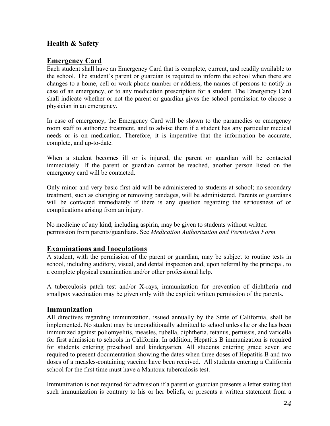# **Health & Safety**

#### **Emergency Card**

Each student shall have an Emergency Card that is complete, current, and readily available to the school. The student's parent or guardian is required to inform the school when there are changes to a home, cell or work phone number or address, the names of persons to notify in case of an emergency, or to any medication prescription for a student. The Emergency Card shall indicate whether or not the parent or guardian gives the school permission to choose a physician in an emergency.

In case of emergency, the Emergency Card will be shown to the paramedics or emergency room staff to authorize treatment, and to advise them if a student has any particular medical needs or is on medication. Therefore, it is imperative that the information be accurate, complete, and up-to-date.

When a student becomes ill or is injured, the parent or guardian will be contacted immediately. If the parent or guardian cannot be reached, another person listed on the emergency card will be contacted.

Only minor and very basic first aid will be administered to students at school; no secondary treatment, such as changing or removing bandages, will be administered. Parents or guardians will be contacted immediately if there is any question regarding the seriousness of or complications arising from an injury.

No medicine of any kind, including aspirin, may be given to students without written permission from parents/guardians. See *Medication Authorization and Permission Form.*

#### **Examinations and Inoculations**

A student, with the permission of the parent or guardian, may be subject to routine tests in school, including auditory, visual, and dental inspection and, upon referral by the principal, to a complete physical examination and/or other professional help.

A tuberculosis patch test and/or X-rays, immunization for prevention of diphtheria and smallpox vaccination may be given only with the explicit written permission of the parents.

#### **Immunization**

All directives regarding immunization, issued annually by the State of California, shall be implemented. No student may be unconditionally admitted to school unless he or she has been immunized against poliomyelitis, measles, rubella, diphtheria, tetanus, pertussis, and varicella for first admission to schools in California. In addition, Hepatitis B immunization is required for students entering preschool and kindergarten. All students entering grade seven are required to present documentation showing the dates when three doses of Hepatitis B and two doses of a measles-containing vaccine have been received. All students entering a California school for the first time must have a Mantoux tuberculosis test.

Immunization is not required for admission if a parent or guardian presents a letter stating that such immunization is contrary to his or her beliefs, or presents a written statement from a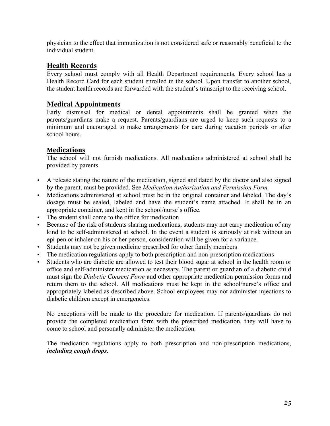physician to the effect that immunization is not considered safe or reasonably beneficial to the individual student.

# **Health Records**

Every school must comply with all Health Department requirements. Every school has a Health Record Card for each student enrolled in the school. Upon transfer to another school, the student health records are forwarded with the student's transcript to the receiving school.

#### **Medical Appointments**

Early dismissal for medical or dental appointments shall be granted when the parents/guardians make a request. Parents/guardians are urged to keep such requests to a minimum and encouraged to make arrangements for care during vacation periods or after school hours.

#### **Medications**

The school will not furnish medications. All medications administered at school shall be provided by parents.

- A release stating the nature of the medication, signed and dated by the doctor and also signed by the parent, must be provided. See *Medication Authorization and Permission Form.*
- Medications administered at school must be in the original container and labeled. The day's dosage must be sealed, labeled and have the student's name attached. It shall be in an appropriate container, and kept in the school/nurse's office.
- The student shall come to the office for medication
- Because of the risk of students sharing medications, students may not carry medication of any kind to be self-administered at school. In the event a student is seriously at risk without an epi-pen or inhaler on his or her person, consideration will be given for a variance.
- Students may not be given medicine prescribed for other family members
- The medication regulations apply to both prescription and non-prescription medications
- Students who are diabetic are allowed to test their blood sugar at school in the health room or office and self-administer medication as necessary. The parent or guardian of a diabetic child must sign the *Diabetic Consent Form* and other appropriate medication permission forms and return them to the school. All medications must be kept in the school/nurse's office and appropriately labeled as described above. School employees may not administer injections to diabetic children except in emergencies.

No exceptions will be made to the procedure for medication. If parents/guardians do not provide the completed medication form with the prescribed medication, they will have to come to school and personally administer the medication.

The medication regulations apply to both prescription and non-prescription medications, *including cough drops*.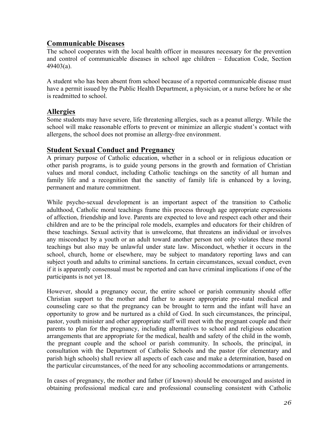# **Communicable Diseases**

The school cooperates with the local health officer in measures necessary for the prevention and control of communicable diseases in school age children – Education Code, Section 49403(a).

A student who has been absent from school because of a reported communicable disease must have a permit issued by the Public Health Department, a physician, or a nurse before he or she is readmitted to school.

#### **Allergies**

Some students may have severe, life threatening allergies, such as a peanut allergy. While the school will make reasonable efforts to prevent or minimize an allergic student's contact with allergens, the school does not promise an allergy-free environment.

#### **Student Sexual Conduct and Pregnancy**

A primary purpose of Catholic education, whether in a school or in religious education or other parish programs, is to guide young persons in the growth and formation of Christian values and moral conduct, including Catholic teachings on the sanctity of all human and family life and a recognition that the sanctity of family life is enhanced by a loving, permanent and mature commitment.

While psycho-sexual development is an important aspect of the transition to Catholic adulthood, Catholic moral teachings frame this process through age appropriate expressions of affection, friendship and love. Parents are expected to love and respect each other and their children and are to be the principal role models, examples and educators for their children of these teachings. Sexual activity that is unwelcome, that threatens an individual or involves any misconduct by a youth or an adult toward another person not only violates these moral teachings but also may be unlawful under state law. Misconduct, whether it occurs in the school, church, home or elsewhere, may be subject to mandatory reporting laws and can subject youth and adults to criminal sanctions. In certain circumstances, sexual conduct, even if it is apparently consensual must be reported and can have criminal implications if one of the participants is not yet 18.

However, should a pregnancy occur, the entire school or parish community should offer Christian support to the mother and father to assure appropriate pre-natal medical and counseling care so that the pregnancy can be brought to term and the infant will have an opportunity to grow and be nurtured as a child of God. In such circumstances, the principal, pastor, youth minister and other appropriate staff will meet with the pregnant couple and their parents to plan for the pregnancy, including alternatives to school and religious education arrangements that are appropriate for the medical, health and safety of the child in the womb, the pregnant couple and the school or parish community. In schools, the principal, in consultation with the Department of Catholic Schools and the pastor (for elementary and parish high schools) shall review all aspects of each case and make a determination, based on the particular circumstances, of the need for any schooling accommodations or arrangements.

In cases of pregnancy, the mother and father (if known) should be encouraged and assisted in obtaining professional medical care and professional counseling consistent with Catholic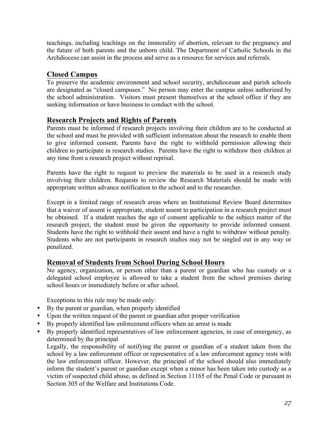teachings, including teachings on the immorality of abortion, relevant to the pregnancy and the future of both parents and the unborn child. The Department of Catholic Schools in the Archdiocese can assist in the process and serve as a resource for services and referrals.

# **Closed Campus**

To preserve the academic environment and school security, archdiocesan and parish schools are designated as "closed campuses." No person may enter the campus unless authorized by the school administration. Visitors must present themselves at the school office if they are seeking information or have business to conduct with the school.

# **Research Projects and Rights of Parents**

Parents must be informed if research projects involving their children are to be conducted at the school and must be provided with sufficient information about the research to enable them to give informed consent. Parents have the right to withhold permission allowing their children to participate in research studies. Parents have the right to withdraw their children at any time from a research project without reprisal.

Parents have the right to request to preview the materials to be used in a research study involving their children. Requests to review the Research Materials should be made with appropriate written advance notification to the school and to the researcher.

Except in a limited range of research areas where an Institutional Review Board determines that a waiver of assent is appropriate, student assent to participation in a research project must be obtained. If a student reaches the age of consent applicable to the subject matter of the research project, the student must be given the opportunity to provide informed consent. Students have the right to withhold their assent and have a right to withdraw without penalty. Students who are not participants in research studies may not be singled out in any way or penalized.

# **Removal of Students from School During School Hours**

No agency, organization, or person other than a parent or guardian who has custody or a delegated school employee is allowed to take a student from the school premises during school hours or immediately before or after school.

Exceptions to this rule may be made only:

- By the parent or guardian, when properly identified
- Upon the written request of the parent or guardian after proper verification
- By properly identified law enforcement officers when an arrest is made
- By properly identified representatives of law enforcement agencies, in case of emergency, as determined by the principal

Legally, the responsibility of notifying the parent or guardian of a student taken from the school by a law enforcement officer or representative of a law enforcement agency rests with the law enforcement officer. However, the principal of the school should also immediately inform the student's parent or guardian except when a minor has been taken into custody as a victim of suspected child abuse, as defined in Section 11165 of the Penal Code or pursuant to Section 305 of the Welfare and Institutions Code.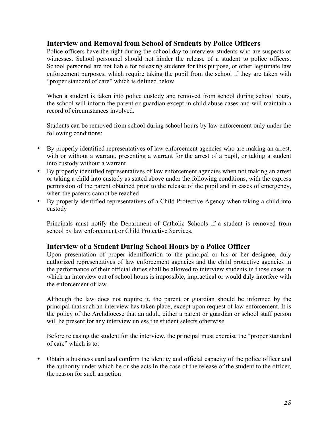# **Interview and Removal from School of Students by Police Officers**

Police officers have the right during the school day to interview students who are suspects or witnesses. School personnel should not hinder the release of a student to police officers. School personnel are not liable for releasing students for this purpose, or other legitimate law enforcement purposes, which require taking the pupil from the school if they are taken with "proper standard of care" which is defined below.

When a student is taken into police custody and removed from school during school hours, the school will inform the parent or guardian except in child abuse cases and will maintain a record of circumstances involved.

Students can be removed from school during school hours by law enforcement only under the following conditions:

- By properly identified representatives of law enforcement agencies who are making an arrest, with or without a warrant, presenting a warrant for the arrest of a pupil, or taking a student into custody without a warrant
- By properly identified representatives of law enforcement agencies when not making an arrest or taking a child into custody as stated above under the following conditions, with the express permission of the parent obtained prior to the release of the pupil and in cases of emergency, when the parents cannot be reached
- By properly identified representatives of a Child Protective Agency when taking a child into custody

Principals must notify the Department of Catholic Schools if a student is removed from school by law enforcement or Child Protective Services.

# **Interview of a Student During School Hours by a Police Officer**

Upon presentation of proper identification to the principal or his or her designee, duly authorized representatives of law enforcement agencies and the child protective agencies in the performance of their official duties shall be allowed to interview students in those cases in which an interview out of school hours is impossible, impractical or would duly interfere with the enforcement of law.

Although the law does not require it, the parent or guardian should be informed by the principal that such an interview has taken place, except upon request of law enforcement. It is the policy of the Archdiocese that an adult, either a parent or guardian or school staff person will be present for any interview unless the student selects otherwise.

Before releasing the student for the interview, the principal must exercise the "proper standard of care" which is to:

• Obtain a business card and confirm the identity and official capacity of the police officer and the authority under which he or she acts In the case of the release of the student to the officer, the reason for such an action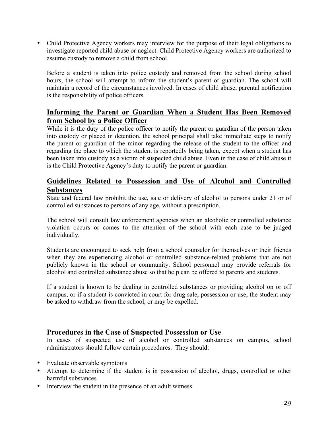• Child Protective Agency workers may interview for the purpose of their legal obligations to investigate reported child abuse or neglect. Child Protective Agency workers are authorized to assume custody to remove a child from school.

Before a student is taken into police custody and removed from the school during school hours, the school will attempt to inform the student's parent or guardian. The school will maintain a record of the circumstances involved. In cases of child abuse, parental notification is the responsibility of police officers.

# **Informing the Parent or Guardian When a Student Has Been Removed from School by a Police Officer**

While it is the duty of the police officer to notify the parent or guardian of the person taken into custody or placed in detention, the school principal shall take immediate steps to notify the parent or guardian of the minor regarding the release of the student to the officer and regarding the place to which the student is reportedly being taken, except when a student has been taken into custody as a victim of suspected child abuse. Even in the case of child abuse it is the Child Protective Agency's duty to notify the parent or guardian.

# **Guidelines Related to Possession and Use of Alcohol and Controlled Substances**

State and federal law prohibit the use, sale or delivery of alcohol to persons under 21 or of controlled substances to persons of any age, without a prescription.

The school will consult law enforcement agencies when an alcoholic or controlled substance violation occurs or comes to the attention of the school with each case to be judged individually.

Students are encouraged to seek help from a school counselor for themselves or their friends when they are experiencing alcohol or controlled substance-related problems that are not publicly known in the school or community. School personnel may provide referrals for alcohol and controlled substance abuse so that help can be offered to parents and students.

If a student is known to be dealing in controlled substances or providing alcohol on or off campus, or if a student is convicted in court for drug sale, possession or use, the student may be asked to withdraw from the school, or may be expelled.

#### **Procedures in the Case of Suspected Possession or Use**

In cases of suspected use of alcohol or controlled substances on campus, school administrators should follow certain procedures. They should:

- Evaluate observable symptoms
- Attempt to determine if the student is in possession of alcohol, drugs, controlled or other harmful substances
- Interview the student in the presence of an adult witness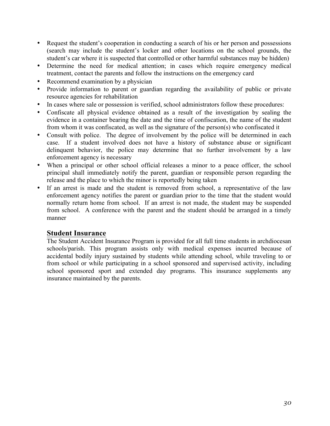- Request the student's cooperation in conducting a search of his or her person and possessions (search may include the student's locker and other locations on the school grounds, the student's car where it is suspected that controlled or other harmful substances may be hidden)
- Determine the need for medical attention; in cases which require emergency medical treatment, contact the parents and follow the instructions on the emergency card
- Recommend examination by a physician
- Provide information to parent or guardian regarding the availability of public or private resource agencies for rehabilitation
- In cases where sale or possession is verified, school administrators follow these procedures:
- Confiscate all physical evidence obtained as a result of the investigation by sealing the evidence in a container bearing the date and the time of confiscation, the name of the student from whom it was confiscated, as well as the signature of the person(s) who confiscated it
- Consult with police. The degree of involvement by the police will be determined in each case. If a student involved does not have a history of substance abuse or significant delinquent behavior, the police may determine that no further involvement by a law enforcement agency is necessary
- When a principal or other school official releases a minor to a peace officer, the school principal shall immediately notify the parent, guardian or responsible person regarding the release and the place to which the minor is reportedly being taken
- If an arrest is made and the student is removed from school, a representative of the law enforcement agency notifies the parent or guardian prior to the time that the student would normally return home from school. If an arrest is not made, the student may be suspended from school. A conference with the parent and the student should be arranged in a timely manner

# **Student Insurance**

The Student Accident Insurance Program is provided for all full time students in archdiocesan schools/parish. This program assists only with medical expenses incurred because of accidental bodily injury sustained by students while attending school, while traveling to or from school or while participating in a school sponsored and supervised activity, including school sponsored sport and extended day programs. This insurance supplements any insurance maintained by the parents.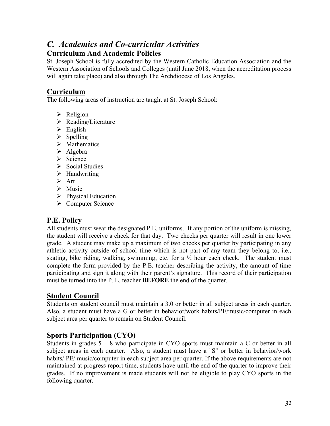# *C. Academics and Co-curricular Activities*

# **Curriculum And Academic Policies**

St. Joseph School is fully accredited by the Western Catholic Education Association and the Western Association of Schools and Colleges (until June 2018, when the accreditation process will again take place) and also through The Archdiocese of Los Angeles.

# **Curriculum**

The following areas of instruction are taught at St. Joseph School:

- $\triangleright$  Religion
- $\triangleright$  Reading/Literature
- $\triangleright$  English
- $\triangleright$  Spelling
- $\triangleright$  Mathematics
- $\triangleright$  Algebra
- $\triangleright$  Science
- $\triangleright$  Social Studies
- $\triangleright$  Handwriting
- $\triangleright$  Art
- $\triangleright$  Music
- $\triangleright$  Physical Education
- $\triangleright$  Computer Science

# **P.E. Policy**

All students must wear the designated P.E. uniforms. If any portion of the uniform is missing, the student will receive a check for that day. Two checks per quarter will result in one lower grade. A student may make up a maximum of two checks per quarter by participating in any athletic activity outside of school time which is not part of any team they belong to, i.e., skating, bike riding, walking, swimming, etc. for a  $\frac{1}{2}$  hour each check. The student must complete the form provided by the P.E. teacher describing the activity, the amount of time participating and sign it along with their parent's signature. This record of their participation must be turned into the P. E. teacher **BEFORE** the end of the quarter.

# **Student Council**

Students on student council must maintain a 3.0 or better in all subject areas in each quarter. Also, a student must have a G or better in behavior/work habits/PE/music/computer in each subject area per quarter to remain on Student Council.

# **Sports Participation (CYO)**

Students in grades  $5 - 8$  who participate in CYO sports must maintain a C or better in all subject areas in each quarter. Also, a student must have a "S" or better in behavior/work habits/ PE/ music/computer in each subject area per quarter. If the above requirements are not maintained at progress report time, students have until the end of the quarter to improve their grades. If no improvement is made students will not be eligible to play CYO sports in the following quarter.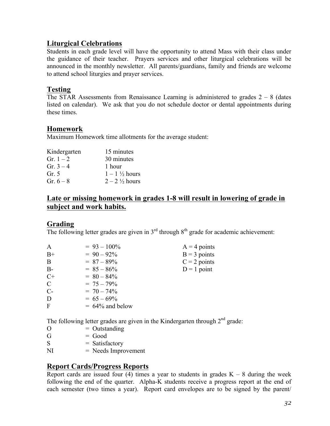# **Liturgical Celebrations**

Students in each grade level will have the opportunity to attend Mass with their class under the guidance of their teacher. Prayers services and other liturgical celebrations will be announced in the monthly newsletter. All parents/guardians, family and friends are welcome to attend school liturgies and prayer services.

#### **Testing**

The STAR Assessments from Renaissance Learning is administered to grades  $2 - 8$  (dates listed on calendar). We ask that you do not schedule doctor or dental appointments during these times.

# **Homework**

Maximum Homework time allotments for the average student:

| Kindergarten | 15 minutes                |
|--------------|---------------------------|
| Gr. $1 - 2$  | 30 minutes                |
| Gr. $3 - 4$  | 1 hour                    |
| Gr $5$       | $1 - 1 \frac{1}{2}$ hours |
| Gr. $6 - 8$  | $2 - 2 \frac{1}{2}$ hours |

# **Late or missing homework in grades 1-8 will result in lowering of grade in subject and work habits.**

#### **Grading**

The following letter grades are given in  $3<sup>rd</sup>$  through  $8<sup>th</sup>$  grade for academic achievement:

| $\mathbf{A}$  | $= 93 - 100\%$     | $A = 4$ points |
|---------------|--------------------|----------------|
| $B+$          | $= 90 - 92\%$      | $B = 3$ points |
| B             | $= 87 - 89\%$      | $C = 2$ points |
| $B -$         | $= 85 - 86\%$      | $D = 1$ point  |
| $C+$          | $= 80 - 84\%$      |                |
| $\mathcal{C}$ | $= 75 - 79\%$      |                |
| $C-$          | $= 70 - 74\%$      |                |
| D             | $= 65 - 69\%$      |                |
| F             | $= 64\%$ and below |                |

The following letter grades are given in the Kindergarten through  $2<sup>nd</sup>$  grade:

- $O =$  Outstanding
- $G = Good$
- $S = Satisfactory$
- NI = Needs Improvement

# **Report Cards/Progress Reports**

Report cards are issued four (4) times a year to students in grades  $K - 8$  during the week following the end of the quarter. Alpha-K students receive a progress report at the end of each semester (two times a year). Report card envelopes are to be signed by the parent/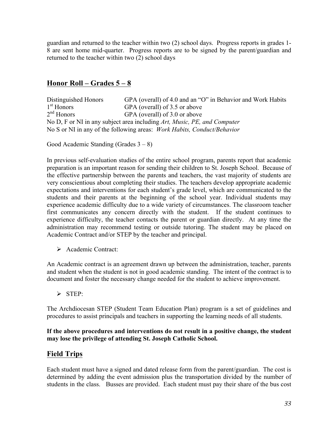guardian and returned to the teacher within two (2) school days. Progress reports in grades 1- 8 are sent home mid-quarter. Progress reports are to be signed by the parent/guardian and returned to the teacher within two (2) school days

# **Honor Roll – Grades 5 – 8**

Distinguished Honors GPA (overall) of 4.0 and an "O" in Behavior and Work Habits 1<sup>st</sup> Honors GPA (overall) of 3.5 or above  $GPA$  (overall) of 3.5 or above  $2<sup>nd</sup>$  Honors GPA (overall) of 3.0 or above No D, F or NI in any subject area including *Art, Music, PE, and Computer* No S or NI in any of the following areas: *Work Habits, Conduct/Behavior*

Good Academic Standing (Grades  $3 - 8$ )

In previous self-evaluation studies of the entire school program, parents report that academic preparation is an important reason for sending their children to St. Joseph School. Because of the effective partnership between the parents and teachers, the vast majority of students are very conscientious about completing their studies. The teachers develop appropriate academic expectations and interventions for each student's grade level, which are communicated to the students and their parents at the beginning of the school year. Individual students may experience academic difficulty due to a wide variety of circumstances. The classroom teacher first communicates any concern directly with the student. If the student continues to experience difficulty, the teacher contacts the parent or guardian directly. At any time the administration may recommend testing or outside tutoring. The student may be placed on Academic Contract and/or STEP by the teacher and principal.

Ø Academic Contract:

An Academic contract is an agreement drawn up between the administration, teacher, parents and student when the student is not in good academic standing. The intent of the contract is to document and foster the necessary change needed for the student to achieve improvement.

 $\triangleright$  STEP:

The Archdiocesan STEP (Student Team Education Plan) program is a set of guidelines and procedures to assist principals and teachers in supporting the learning needs of all students.

#### **If the above procedures and interventions do not result in a positive change, the student may lose the privilege of attending St. Joseph Catholic School.**

# **Field Trips**

Each student must have a signed and dated release form from the parent/guardian. The cost is determined by adding the event admission plus the transportation divided by the number of students in the class. Busses are provided. Each student must pay their share of the bus cost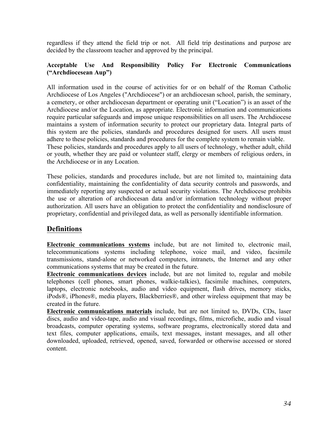regardless if they attend the field trip or not. All field trip destinations and purpose are decided by the classroom teacher and approved by the principal.

#### **Acceptable Use And Responsibility Policy For Electronic Communications ("Archdiocesean Aup")**

All information used in the course of activities for or on behalf of the Roman Catholic Archdiocese of Los Angeles ("Archdiocese") or an archdiocesan school, parish, the seminary, a cemetery, or other archdiocesan department or operating unit ("Location") is an asset of the Archdiocese and/or the Location, as appropriate. Electronic information and communications require particular safeguards and impose unique responsibilities on all users. The Archdiocese maintains a system of information security to protect our proprietary data. Integral parts of this system are the policies, standards and procedures designed for users. All users must adhere to these policies, standards and procedures for the complete system to remain viable. These policies, standards and procedures apply to all users of technology, whether adult, child or youth, whether they are paid or volunteer staff, clergy or members of religious orders, in the Archdiocese or in any Location.

These policies, standards and procedures include, but are not limited to, maintaining data confidentiality, maintaining the confidentiality of data security controls and passwords, and immediately reporting any suspected or actual security violations. The Archdiocese prohibits the use or alteration of archdiocesan data and/or information technology without proper authorization. All users have an obligation to protect the confidentiality and nondisclosure of proprietary, confidential and privileged data, as well as personally identifiable information.

# **Definitions**

**Electronic communications systems** include, but are not limited to, electronic mail, telecommunications systems including telephone, voice mail, and video, facsimile transmissions, stand-alone or networked computers, intranets, the Internet and any other communications systems that may be created in the future.

**Electronic communications devices** include, but are not limited to, regular and mobile telephones (cell phones, smart phones, walkie-talkies), facsimile machines, computers, laptops, electronic notebooks, audio and video equipment, flash drives, memory sticks, iPods®, iPhones®, media players, Blackberries®, and other wireless equipment that may be created in the future.

**Electronic communications materials** include, but are not limited to, DVDs, CDs, laser discs, audio and video-tape, audio and visual recordings, films, microfiche, audio and visual broadcasts, computer operating systems, software programs, electronically stored data and text files, computer applications, emails, text messages, instant messages, and all other downloaded, uploaded, retrieved, opened, saved, forwarded or otherwise accessed or stored content.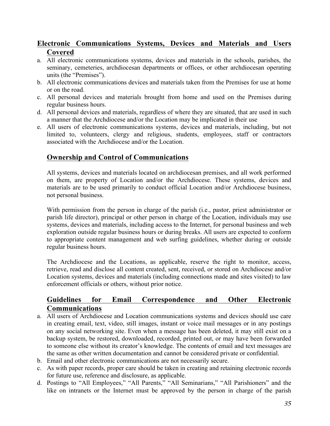# **Electronic Communications Systems, Devices and Materials and Users Covered**

- a. All electronic communications systems, devices and materials in the schools, parishes, the seminary, cemeteries, archdiocesan departments or offices, or other archdiocesan operating units (the "Premises").
- b. All electronic communications devices and materials taken from the Premises for use at home or on the road.
- c. All personal devices and materials brought from home and used on the Premises during regular business hours.
- d. All personal devices and materials, regardless of where they are situated, that are used in such a manner that the Archdiocese and/or the Location may be implicated in their use
- e. All users of electronic communications systems, devices and materials, including, but not limited to, volunteers, clergy and religious, students, employees, staff or contractors associated with the Archdiocese and/or the Location.

# **Ownership and Control of Communications**

All systems, devices and materials located on archdiocesan premises, and all work performed on them, are property of Location and/or the Archdiocese. These systems, devices and materials are to be used primarily to conduct official Location and/or Archdiocese business, not personal business.

With permission from the person in charge of the parish (i.e., pastor, priest administrator or parish life director), principal or other person in charge of the Location, individuals may use systems, devices and materials, including access to the Internet, for personal business and web exploration outside regular business hours or during breaks. All users are expected to conform to appropriate content management and web surfing guidelines, whether during or outside regular business hours.

The Archdiocese and the Locations, as applicable, reserve the right to monitor, access, retrieve, read and disclose all content created, sent, received, or stored on Archdiocese and/or Location systems, devices and materials (including connections made and sites visited) to law enforcement officials or others, without prior notice.

# **Guidelines for Email Correspondence and Other Electronic Communications**

- a. All users of Archdiocese and Location communications systems and devices should use care in creating email, text, video, still images, instant or voice mail messages or in any postings on any social networking site. Even when a message has been deleted, it may still exist on a backup system, be restored, downloaded, recorded, printed out, or may have been forwarded to someone else without its creator's knowledge. The contents of email and text messages are the same as other written documentation and cannot be considered private or confidential.
- b. Email and other electronic communications are not necessarily secure.
- c. As with paper records, proper care should be taken in creating and retaining electronic records for future use, reference and disclosure, as applicable.
- d. Postings to "All Employees," "All Parents," "All Seminarians," "All Parishioners" and the like on intranets or the Internet must be approved by the person in charge of the parish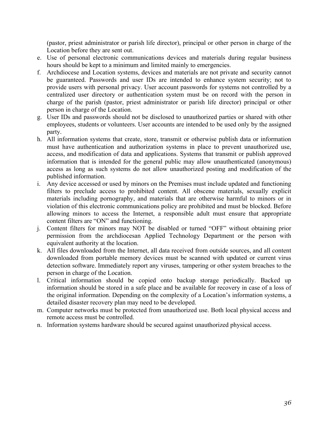(pastor, priest administrator or parish life director), principal or other person in charge of the Location before they are sent out.

- e. Use of personal electronic communications devices and materials during regular business hours should be kept to a minimum and limited mainly to emergencies.
- f. Archdiocese and Location systems, devices and materials are not private and security cannot be guaranteed. Passwords and user IDs are intended to enhance system security; not to provide users with personal privacy. User account passwords for systems not controlled by a centralized user directory or authentication system must be on record with the person in charge of the parish (pastor, priest administrator or parish life director) principal or other person in charge of the Location.
- g. User IDs and passwords should not be disclosed to unauthorized parties or shared with other employees, students or volunteers. User accounts are intended to be used only by the assigned party.
- h. All information systems that create, store, transmit or otherwise publish data or information must have authentication and authorization systems in place to prevent unauthorized use, access, and modification of data and applications. Systems that transmit or publish approved information that is intended for the general public may allow unauthenticated (anonymous) access as long as such systems do not allow unauthorized posting and modification of the published information.
- i. Any device accessed or used by minors on the Premises must include updated and functioning filters to preclude access to prohibited content. All obscene materials, sexually explicit materials including pornography, and materials that are otherwise harmful to minors or in violation of this electronic communications policy are prohibited and must be blocked. Before allowing minors to access the Internet, a responsible adult must ensure that appropriate content filters are "ON" and functioning.
- j. Content filters for minors may NOT be disabled or turned "OFF" without obtaining prior permission from the archdiocesan Applied Technology Department or the person with equivalent authority at the location.
- k. All files downloaded from the Internet, all data received from outside sources, and all content downloaded from portable memory devices must be scanned with updated or current virus detection software. Immediately report any viruses, tampering or other system breaches to the person in charge of the Location.
- l. Critical information should be copied onto backup storage periodically. Backed up information should be stored in a safe place and be available for recovery in case of a loss of the original information. Depending on the complexity of a Location's information systems, a detailed disaster recovery plan may need to be developed.
- m. Computer networks must be protected from unauthorized use. Both local physical access and remote access must be controlled.
- n. Information systems hardware should be secured against unauthorized physical access.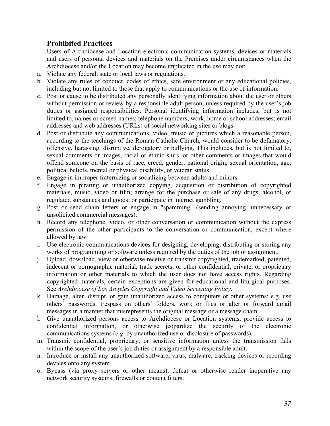# **Prohibited Practices**

Users of Archdiocese and Location electronic communication systems, devices or materials and users of personal devices and materials on the Premises under circumstances when the Archdiocese and/or the Location may become implicated in the use may not:

- a. Violate any federal, state or local laws or regulations.
- b. Violate any rules of conduct, codes of ethics, safe environment or any educational policies, including but not limited to those that apply to communications or the use of information.
- c. Post or cause to be distributed any personally identifying information about the user or others without permission or review by a responsible adult person, unless required by the user's job duties or assigned responsibilities. Personal identifying information includes, but is not limited to, names or screen names; telephone numbers; work, home or school addresses; email addresses and web addresses (URLs) of social networking sites or blogs.
- d. Post or distribute any communications, video, music or pictures which a reasonable person, according to the teachings of the Roman Catholic Church, would consider to be defamatory, offensive, harassing, disruptive, derogatory or bullying. This includes, but is not limited to, sexual comments or images, racial or ethnic slurs, or other comments or images that would offend someone on the basis of race, creed, gender, national origin, sexual orientation, age, political beliefs, mental or physical disability, or veteran status.
- e. Engage in improper fraternizing or socializing between adults and minors.
- f. Engage in pirating or unauthorized copying, acquisition or distribution of copyrighted materials, music, video or film; arrange for the purchase or sale of any drugs, alcohol, or regulated substances and goods; or participate in internet gambling.
- g. Post or send chain letters or engage in "spamming" (sending annoying, unnecessary or unsolicited commercial messages).
- h. Record any telephone, video, or other conversation or communication without the express permission of the other participants to the conversation or communication, except where allowed by law.
- i. Use electronic communications devices for designing, developing, distributing or storing any works of programming or software unless required by the duties of the job or assignment.
- j. Upload, download, view or otherwise receive or transmit copyrighted, trademarked, patented, indecent or pornographic material, trade secrets, or other confidential, private, or proprietary information or other materials to which the user does not have access rights. Regarding copyrighted materials, certain exceptions are given for educational and liturgical purposes. See *Archdiocese of Los Angeles Copyright and Video Screening Policy*.
- k. Damage, alter, disrupt, or gain unauthorized access to computers or other systems; e.g. use others' passwords, trespass on others' folders, work or files or alter or forward email messages in a manner that misrepresents the original message or a message chain.
- l. Give unauthorized persons access to Archdiocese or Location systems, provide access to confidential information, or otherwise jeopardize the security of the electronic communications systems (*e.g*. by unauthorized use or disclosure of passwords).
- m. Transmit confidential, proprietary, or sensitive information unless the transmission falls within the scope of the user's job duties or assignment by a responsible adult.
- n. Introduce or install any unauthorized software, virus, malware, tracking devices or recording devices onto any system.
- o. Bypass (via proxy servers or other means), defeat or otherwise render inoperative any network security systems, firewalls or content filters.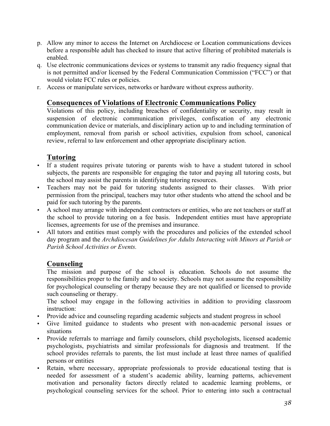- p. Allow any minor to access the Internet on Archdiocese or Location communications devices before a responsible adult has checked to insure that active filtering of prohibited materials is enabled.
- q. Use electronic communications devices or systems to transmit any radio frequency signal that is not permitted and/or licensed by the Federal Communication Commission ("FCC") or that would violate FCC rules or policies.
- r. Access or manipulate services, networks or hardware without express authority.

# **Consequences of Violations of Electronic Communications Policy**

Violations of this policy, including breaches of confidentiality or security, may result in suspension of electronic communication privileges, confiscation of any electronic communication device or materials, and disciplinary action up to and including termination of employment, removal from parish or school activities, expulsion from school, canonical review, referral to law enforcement and other appropriate disciplinary action.

# **Tutoring**

- If a student requires private tutoring or parents wish to have a student tutored in school subjects, the parents are responsible for engaging the tutor and paying all tutoring costs, but the school may assist the parents in identifying tutoring resources.
- Teachers may not be paid for tutoring students assigned to their classes. With prior permission from the principal, teachers may tutor other students who attend the school and be paid for such tutoring by the parents.
- A school may arrange with independent contractors or entities, who are not teachers or staff at the school to provide tutoring on a fee basis. Independent entities must have appropriate licenses, agreements for use of the premises and insurance.
- All tutors and entities must comply with the procedures and policies of the extended school day program and the *Archdiocesan Guidelines for Adults Interacting with Minors at Parish or Parish School Activities or Events.*

# **Counseling**

The mission and purpose of the school is education. Schools do not assume the responsibilities proper to the family and to society. Schools may not assume the responsibility for psychological counseling or therapy because they are not qualified or licensed to provide such counseling or therapy.

The school may engage in the following activities in addition to providing classroom instruction:

- Provide advice and counseling regarding academic subjects and student progress in school
- Give limited guidance to students who present with non-academic personal issues or situations
- Provide referrals to marriage and family counselors, child psychologists, licensed academic psychologists, psychiatrists and similar professionals for diagnosis and treatment. If the school provides referrals to parents, the list must include at least three names of qualified persons or entities
- Retain, where necessary, appropriate professionals to provide educational testing that is needed for assessment of a student's academic ability, learning patterns, achievement motivation and personality factors directly related to academic learning problems, or psychological counseling services for the school. Prior to entering into such a contractual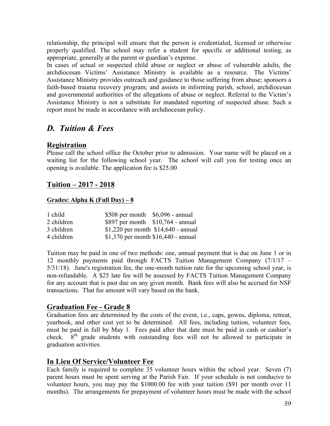relationship, the principal will ensure that the person is credentialed, licensed or otherwise properly qualified. The school may refer a student for specific or additional testing, as appropriate, generally at the parent or guardian's expense.

In cases of actual or suspected child abuse or neglect or abuse of vulnerable adults, the archdiocesan Victims' Assistance Ministry is available as a resource. The Victims' Assistance Ministry provides outreach and guidance to those suffering from abuse; sponsors a faith-based trauma recovery program; and assists in informing parish, school, archdiocesan and governmental authorities of the allegations of abuse or neglect. Referral to the Victim's Assistance Ministry is not a substitute for mandated reporting of suspected abuse. Such a report must be made in accordance with archdiocesan policy.

# *D. Tuition & Fees*

# **Registration**

Please call the school office the October prior to admission. Your name will be placed on a waiting list for the following school year. The school will call you for testing once an opening is available. The application fee is \$25.00

# **Tuition – 2017 - 2018**

#### **Grades: Alpha K (Full Day) – 8**

| 1 child    | $$508$ per month $$6,096$ - annual   |  |
|------------|--------------------------------------|--|
| 2 children | $$897$ per month $$10,764$ - annual  |  |
| 3 children | \$1,220 per month $$14,640$ - annual |  |
| 4 children | \$1,370 per month $$16,440$ - annual |  |

Tuition may be paid in one of two methods: one, annual payment that is due on June 1 or in 12 monthly payments paid through FACTS Tuition Management Company (7/1/17 – 5/31/18). June's registration fee, the one-month tuition rate for the upcoming school year, is non-refundable. A \$25 late fee will be assessed by FACTS Tuition Management Company for any account that is past due on any given month. Bank fees will also be accrued for NSF transactions. That fee amount will vary based on the bank.

# **Graduation Fee - Grade 8**

Graduation fees are determined by the costs of the event, i.e., caps, gowns, diploma, retreat, yearbook, and other cost yet to be determined. All fees, including tuition, volunteer fees, must be paid in full by May 1. Fees paid after that date must be paid in cash or cashier's check.  $8<sup>th</sup>$  grade students with outstanding fees will not be allowed to participate in graduation activities.

# **In Lieu Of Service/Volunteer Fee**

Each family is required to complete 35 volunteer hours within the school year. Seven (7) parent hours must be spent serving at the Parish Fair. If your schedule is not conducive to volunteer hours, you may pay the \$1000.00 fee with your tuition (\$91 per month over 11 months). The arrangements for prepayment of volunteer hours must be made with the school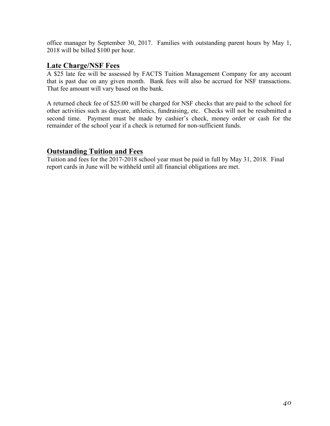office manager by September 30, 2017. Families with outstanding parent hours by May 1, 2018 will be billed \$100 per hour.

#### **Late Charge/NSF Fees**

A \$25 late fee will be assessed by FACTS Tuition Management Company for any account that is past due on any given month. Bank fees will also be accrued for NSF transactions. That fee amount will vary based on the bank.

A returned check fee of \$25.00 will be charged for NSF checks that are paid to the school for other activities such as daycare, athletics, fundraising, etc. Checks will not be resubmitted a second time. Payment must be made by cashier's check, money order or cash for the remainder of the school year if a check is returned for non-sufficient funds.

#### **Outstanding Tuition and Fees**

Tuition and fees for the 2017-2018 school year must be paid in full by May 31, 2018. Final report cards in June will be withheld until all financial obligations are met.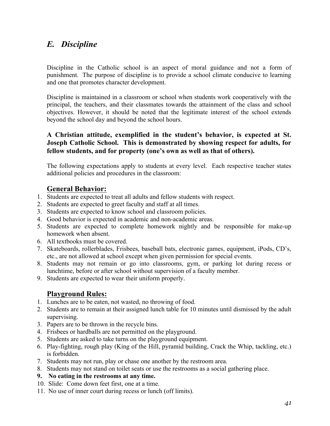# *E. Discipline*

Discipline in the Catholic school is an aspect of moral guidance and not a form of punishment. The purpose of discipline is to provide a school climate conducive to learning and one that promotes character development.

Discipline is maintained in a classroom or school when students work cooperatively with the principal, the teachers, and their classmates towards the attainment of the class and school objectives. However, it should be noted that the legitimate interest of the school extends beyond the school day and beyond the school hours.

#### **A Christian attitude, exemplified in the student's behavior, is expected at St. Joseph Catholic School. This is demonstrated by showing respect for adults, for fellow students, and for property (one's own as well as that of others).**

The following expectations apply to students at every level. Each respective teacher states additional policies and procedures in the classroom:

# **General Behavior:**

- 1. Students are expected to treat all adults and fellow students with respect.
- 2. Students are expected to greet faculty and staff at all times.
- 3. Students are expected to know school and classroom policies.
- 4. Good behavior is expected in academic and non-academic areas.
- 5. Students are expected to complete homework nightly and be responsible for make-up homework when absent.
- 6. All textbooks must be covered.
- 7. Skateboards, rollerblades, Frisbees, baseball bats, electronic games, equipment, iPods, CD's, etc., are not allowed at school except when given permission for special events.
- 8. Students may not remain or go into classrooms, gym, or parking lot during recess or lunchtime, before or after school without supervision of a faculty member.
- 9. Students are expected to wear their uniform properly.

# **Playground Rules:**

- 1. Lunches are to be eaten, not wasted, no throwing of food.
- 2. Students are to remain at their assigned lunch table for 10 minutes until dismissed by the adult supervising.
- 3. Papers are to be thrown in the recycle bins.
- 4. Frisbees or hardballs are not permitted on the playground.
- 5. Students are asked to take turns on the playground equipment.
- 6. Play-fighting, rough play (King of the Hill, pyramid building, Crack the Whip, tackling, etc.) is forbidden.
- 7. Students may not run, play or chase one another by the restroom area.
- 8. Students may not stand on toilet seats or use the restrooms as a social gathering place.
- **9. No eating in the restrooms at any time.**
- 10. Slide: Come down feet first, one at a time.
- 11. No use of inner court during recess or lunch (off limits).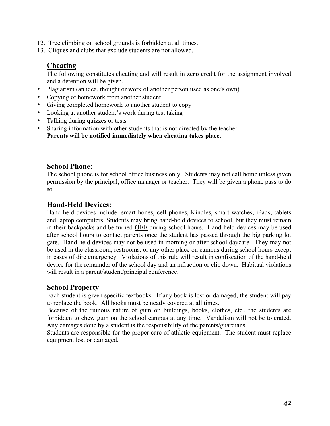- 12. Tree climbing on school grounds is forbidden at all times.
- 13. Cliques and clubs that exclude students are not allowed.

#### **Cheating**

The following constitutes cheating and will result in **zero** credit for the assignment involved and a detention will be given.

- Plagiarism (an idea, thought or work of another person used as one's own)
- Copying of homework from another student
- Giving completed homework to another student to copy
- Looking at another student's work during test taking
- Talking during quizzes or tests
- Sharing information with other students that is not directed by the teacher **Parents will be notified immediately when cheating takes place.**

#### **School Phone:**

The school phone is for school office business only. Students may not call home unless given permission by the principal, office manager or teacher. They will be given a phone pass to do so.

#### **Hand-Held Devices:**

Hand-held devices include: smart hones, cell phones, Kindles, smart watches, iPads, tablets and laptop computers. Students may bring hand-held devices to school, but they must remain in their backpacks and be turned **OFF** during school hours. Hand-held devices may be used after school hours to contact parents once the student has passed through the big parking lot gate. Hand-held devices may not be used in morning or after school daycare. They may not be used in the classroom, restrooms, or any other place on campus during school hours except in cases of dire emergency. Violations of this rule will result in confiscation of the hand-held device for the remainder of the school day and an infraction or clip down. Habitual violations will result in a parent/student/principal conference.

#### **School Property**

Each student is given specific textbooks. If any book is lost or damaged, the student will pay to replace the book. All books must be neatly covered at all times.

Because of the ruinous nature of gum on buildings, books, clothes, etc., the students are forbidden to chew gum on the school campus at any time. Vandalism will not be tolerated. Any damages done by a student is the responsibility of the parents/guardians.

Students are responsible for the proper care of athletic equipment. The student must replace equipment lost or damaged.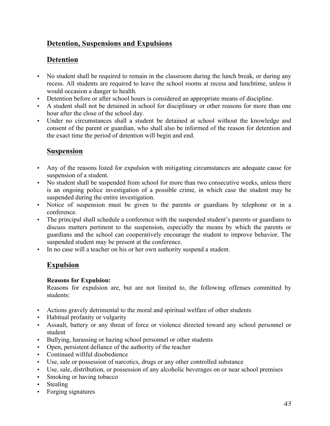# **Detention, Suspensions and Expulsions**

# **Detention**

- No student shall be required to remain in the classroom during the lunch break, or during any recess. All students are required to leave the school rooms at recess and lunchtime, unless it would occasion a danger to health.
- Detention before or after school hours is considered an appropriate means of discipline.
- A student shall not be detained in school for disciplinary or other reasons for more than one hour after the close of the school day.
- Under no circumstances shall a student be detained at school without the knowledge and consent of the parent or guardian, who shall also be informed of the reason for detention and the exact time the period of detention will begin and end.

# **Suspension**

- Any of the reasons listed for expulsion with mitigating circumstances are adequate cause for suspension of a student.
- No student shall be suspended from school for more than two consecutive weeks, unless there is an ongoing police investigation of a possible crime, in which case the student may be suspended during the entire investigation.
- Notice of suspension must be given to the parents or guardians by telephone or in a conference.
- The principal shall schedule a conference with the suspended student's parents or guardians to discuss matters pertinent to the suspension, especially the means by which the parents or guardians and the school can cooperatively encourage the student to improve behavior. The suspended student may be present at the conference.
- In no case will a teacher on his or her own authority suspend a student.

# **Expulsion**

#### **Reasons for Expulsion:**

Reasons for expulsion are, but are not limited to, the following offenses committed by students:

- Actions gravely detrimental to the moral and spiritual welfare of other students
- Habitual profanity or vulgarity
- Assault, battery or any threat of force or violence directed toward any school personnel or student
- Bullying, harassing or hazing school personnel or other students
- Open, persistent defiance of the authority of the teacher
- Continued willful disobedience
- Use, sale or possession of narcotics, drugs or any other controlled substance
- Use, sale, distribution, or possession of any alcoholic beverages on or near school premises
- Smoking or having tobacco
- Stealing
- Forging signatures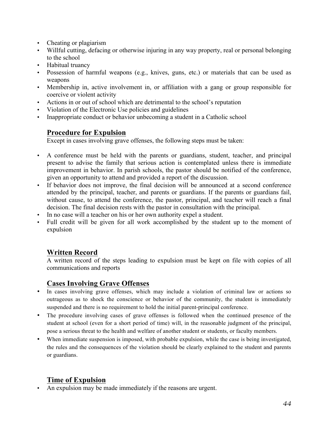- Cheating or plagiarism
- Willful cutting, defacing or otherwise injuring in any way property, real or personal belonging to the school
- Habitual truancy
- Possession of harmful weapons (e.g., knives, guns, etc.) or materials that can be used as weapons
- Membership in, active involvement in, or affiliation with a gang or group responsible for coercive or violent activity
- Actions in or out of school which are detrimental to the school's reputation
- Violation of the Electronic Use policies and guidelines
- Inappropriate conduct or behavior unbecoming a student in a Catholic school

# **Procedure for Expulsion**

Except in cases involving grave offenses, the following steps must be taken:

- A conference must be held with the parents or guardians, student, teacher, and principal present to advise the family that serious action is contemplated unless there is immediate improvement in behavior. In parish schools, the pastor should be notified of the conference, given an opportunity to attend and provided a report of the discussion.
- If behavior does not improve, the final decision will be announced at a second conference attended by the principal, teacher, and parents or guardians. If the parents or guardians fail, without cause, to attend the conference, the pastor, principal, and teacher will reach a final decision. The final decision rests with the pastor in consultation with the principal.
- In no case will a teacher on his or her own authority expel a student.
- Full credit will be given for all work accomplished by the student up to the moment of expulsion

# **Written Record**

A written record of the steps leading to expulsion must be kept on file with copies of all communications and reports

# **Cases Involving Grave Offenses**

- In cases involving grave offenses, which may include a violation of criminal law or actions so outrageous as to shock the conscience or behavior of the community, the student is immediately suspended and there is no requirement to hold the initial parent-principal conference.
- The procedure involving cases of grave offenses is followed when the continued presence of the student at school (even for a short period of time) will, in the reasonable judgment of the principal, pose a serious threat to the health and welfare of another student or students, or faculty members.
- When immediate suspension is imposed, with probable expulsion, while the case is being investigated, the rules and the consequences of the violation should be clearly explained to the student and parents or guardians.

# **Time of Expulsion**

• An expulsion may be made immediately if the reasons are urgent.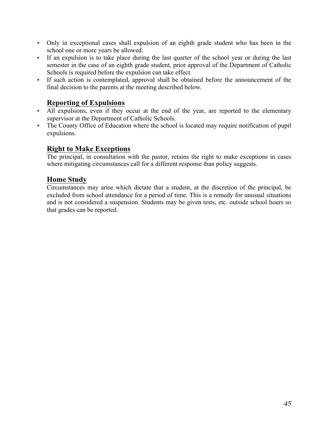- Only in exceptional cases shall expulsion of an eighth grade student who has been in the school one or more years be allowed.
- If an expulsion is to take place during the last quarter of the school year or during the last semester in the case of an eighth grade student, prior approval of the Department of Catholic Schools is required before the expulsion can take effect.
- If such action is contemplated, approval shall be obtained before the announcement of the final decision to the parents at the meeting described below.

# **Reporting of Expulsions**

- All expulsions, even if they occur at the end of the year, are reported to the elementary supervisor at the Department of Catholic Schools.
- The County Office of Education where the school is located may require notification of pupil expulsions.

# **Right to Make Exceptions**

The principal, in consultation with the pastor, retains the right to make exceptions in cases where mitigating circumstances call for a different response than policy suggests.

# **Home Study**

Circumstances may arise which dictate that a student, at the discretion of the principal, be excluded from school attendance for a period of time. This is a remedy for unusual situations and is not considered a suspension. Students may be given tests, etc. outside school hours so that grades can be reported.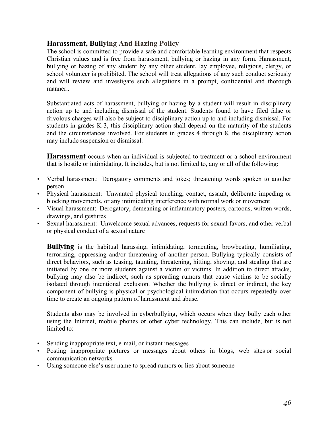# **Harassment, Bullying And Hazing Policy**

The school is committed to provide a safe and comfortable learning environment that respects Christian values and is free from harassment, bullying or hazing in any form. Harassment, bullying or hazing of any student by any other student, lay employee, religious, clergy, or school volunteer is prohibited. The school will treat allegations of any such conduct seriously and will review and investigate such allegations in a prompt, confidential and thorough manner

Substantiated acts of harassment, bullying or hazing by a student will result in disciplinary action up to and including dismissal of the student. Students found to have filed false or frivolous charges will also be subject to disciplinary action up to and including dismissal. For students in grades K-3, this disciplinary action shall depend on the maturity of the students and the circumstances involved. For students in grades 4 through 8, the disciplinary action may include suspension or dismissal.

**Harassment** occurs when an individual is subjected to treatment or a school environment that is hostile or intimidating. It includes, but is not limited to, any or all of the following:

- Verbal harassment: Derogatory comments and jokes; threatening words spoken to another person
- Physical harassment: Unwanted physical touching, contact, assault, deliberate impeding or blocking movements, or any intimidating interference with normal work or movement
- Visual harassment: Derogatory, demeaning or inflammatory posters, cartoons, written words, drawings, and gestures
- Sexual harassment: Unwelcome sexual advances, requests for sexual favors, and other verbal or physical conduct of a sexual nature

**Bullying** is the habitual harassing, intimidating, tormenting, browbeating, humiliating, terrorizing, oppressing and/or threatening of another person. Bullying typically consists of direct behaviors, such as teasing, taunting, threatening, hitting, shoving, and stealing that are initiated by one or more students against a victim or victims. In addition to direct attacks, bullying may also be indirect, such as spreading rumors that cause victims to be socially isolated through intentional exclusion. Whether the bullying is direct or indirect, the key component of bullying is physical or psychological intimidation that occurs repeatedly over time to create an ongoing pattern of harassment and abuse.

Students also may be involved in cyberbullying, which occurs when they bully each other using the Internet, mobile phones or other cyber technology. This can include, but is not limited to:

- Sending inappropriate text, e-mail, or instant messages
- Posting inappropriate pictures or messages about others in blogs, web sites or social communication networks
- Using someone else's user name to spread rumors or lies about someone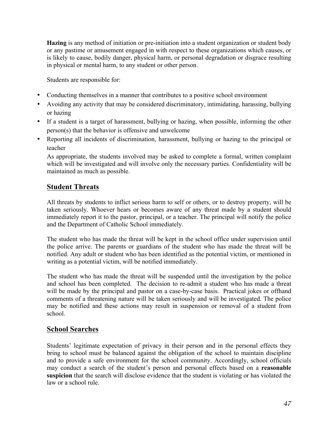**Hazing** is any method of initiation or pre-initiation into a student organization or student body or any pastime or amusement engaged in with respect to these organizations which causes, or is likely to cause, bodily danger, physical harm, or personal degradation or disgrace resulting in physical or mental harm, to any student or other person.

Students are responsible for:

- Conducting themselves in a manner that contributes to a positive school environment
- Avoiding any activity that may be considered discriminatory, intimidating, harassing, bullying or hazing
- If a student is a target of harassment, bullying or hazing, when possible, informing the other person(s) that the behavior is offensive and unwelcome
- Reporting all incidents of discrimination, harassment, bullying or hazing to the principal or teacher

As appropriate, the students involved may be asked to complete a formal, written complaint which will be investigated and will involve only the necessary parties. Confidentiality will be maintained as much as possible.

# **Student Threats**

All threats by students to inflict serious harm to self or others, or to destroy property, will be taken seriously. Whoever hears or becomes aware of any threat made by a student should immediately report it to the pastor, principal, or a teacher. The principal will notify the police and the Department of Catholic School immediately.

The student who has made the threat will be kept in the school office under supervision until the police arrive. The parents or guardians of the student who has made the threat will be notified. Any adult or student who has been identified as the potential victim, or mentioned in writing as a potential victim, will be notified immediately.

The student who has made the threat will be suspended until the investigation by the police and school has been completed. The decision to re-admit a student who has made a threat will be made by the principal and pastor on a case-by-case basis. Practical jokes or offhand comments of a threatening nature will be taken seriously and will be investigated. The police may be notified and these actions may result in suspension or removal of a student from school.

#### **School Searches**

Students' legitimate expectation of privacy in their person and in the personal effects they bring to school must be balanced against the obligation of the school to maintain discipline and to provide a safe environment for the school community. Accordingly, school officials may conduct a search of the student's person and personal effects based on a **reasonable suspicion** that the search will disclose evidence that the student is violating or has violated the law or a school rule.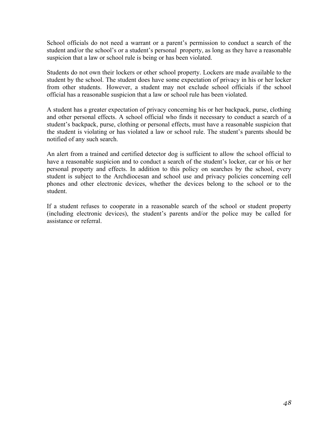School officials do not need a warrant or a parent's permission to conduct a search of the student and/or the school's or a student's personal property, as long as they have a reasonable suspicion that a law or school rule is being or has been violated.

Students do not own their lockers or other school property. Lockers are made available to the student by the school. The student does have some expectation of privacy in his or her locker from other students. However, a student may not exclude school officials if the school official has a reasonable suspicion that a law or school rule has been violated.

A student has a greater expectation of privacy concerning his or her backpack, purse, clothing and other personal effects. A school official who finds it necessary to conduct a search of a student's backpack, purse, clothing or personal effects, must have a reasonable suspicion that the student is violating or has violated a law or school rule. The student's parents should be notified of any such search.

An alert from a trained and certified detector dog is sufficient to allow the school official to have a reasonable suspicion and to conduct a search of the student's locker, car or his or her personal property and effects. In addition to this policy on searches by the school, every student is subject to the Archdiocesan and school use and privacy policies concerning cell phones and other electronic devices, whether the devices belong to the school or to the student.

If a student refuses to cooperate in a reasonable search of the school or student property (including electronic devices), the student's parents and/or the police may be called for assistance or referral.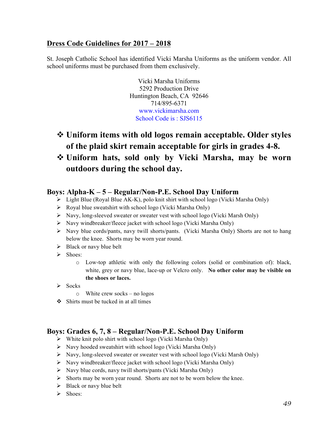# **Dress Code Guidelines for 2017 – 2018**

St. Joseph Catholic School has identified Vicki Marsha Uniforms as the uniform vendor. All school uniforms must be purchased from them exclusively.

> Vicki Marsha Uniforms 5292 Production Drive Huntington Beach, CA 92646 714/895-6371 www.vickimarsha.com School Code is: SJS6115

- v **Uniform items with old logos remain acceptable. Older styles of the plaid skirt remain acceptable for girls in grades 4-8.**
- v **Uniform hats, sold only by Vicki Marsha, may be worn outdoors during the school day.**

# **Boys: Alpha-K – 5 – Regular/Non-P.E. School Day Uniform**

- $\triangleright$  Light Blue (Royal Blue AK-K), polo knit shirt with school logo (Vicki Marsha Only)
- $\triangleright$  Royal blue sweatshirt with school logo (Vicki Marsha Only)
- $\triangleright$  Navy, long-sleeved sweater or sweater vest with school logo (Vicki Marsh Only)
- $\triangleright$  Navy windbreaker/fleece jacket with school logo (Vicki Marsha Only)
- $\triangleright$  Navy blue cords/pants, navy twill shorts/pants. (Vicki Marsha Only) Shorts are not to hang below the knee. Shorts may be worn year round.
- $\triangleright$  Black or navy blue belt
- $\triangleright$  Shoes:
	- o Low-top athletic with only the following colors (solid or combination of): black, white, grey or navy blue, lace-up or Velcro only. **No other color may be visible on the shoes or laces.**
- $\triangleright$  Socks
	- o White crew socks no logos
- $\div$  Shirts must be tucked in at all times

# **Boys: Grades 6, 7, 8 – Regular/Non-P.E. School Day Uniform**

- $\triangleright$  White knit polo shirt with school logo (Vicki Marsha Only)
- $\triangleright$  Navy hooded sweatshirt with school logo (Vicki Marsha Only)
- Ø Navy, long-sleeved sweater or sweater vest with school logo (Vicki Marsh Only)
- $\triangleright$  Navy windbreaker/fleece jacket with school logo (Vicki Marsha Only)
- $\triangleright$  Navy blue cords, navy twill shorts/pants (Vicki Marsha Only)
- $\triangleright$  Shorts may be worn year round. Shorts are not to be worn below the knee.
- $\triangleright$  Black or navy blue belt
- $\triangleright$  Shoes: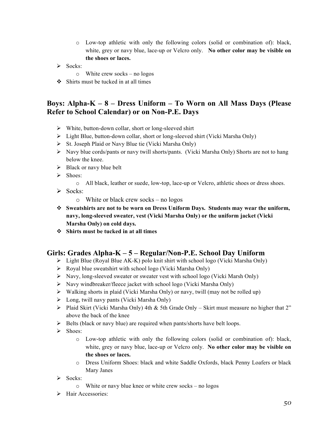- o Low-top athletic with only the following colors (solid or combination of): black, white, grey or navy blue, lace-up or Velcro only. **No other color may be visible on the shoes or laces.**
- $\triangleright$  Socks:
	- o White crew socks no logos
- $\div$  Shirts must be tucked in at all times

# **Boys: Alpha-K – 8 – Dress Uniform – To Worn on All Mass Days (Please Refer to School Calendar) or on Non-P.E. Days**

- $\triangleright$  White, button-down collar, short or long-sleeved shirt
- $\triangleright$  Light Blue, button-down collar, short or long-sleeved shirt (Vicki Marsha Only)
- $\triangleright$  St. Joseph Plaid or Navy Blue tie (Vicki Marsha Only)
- $\triangleright$  Navy blue cords/pants or navy twill shorts/pants. (Vicki Marsha Only) Shorts are not to hang below the knee.
- $\triangleright$  Black or navy blue belt
- $\triangleright$  Shoes:
	- o All black, leather or suede, low-top, lace-up or Velcro, athletic shoes or dress shoes.
- $\triangleright$  Socks:
	- o White or black crew socks no logos
- v **Sweatshirts are not to be worn on Dress Uniform Days. Students may wear the uniform, navy, long-sleeved sweater, vest (Vicki Marsha Only) or the uniform jacket (Vicki Marsha Only) on cold days.**
- v **Shirts must be tucked in at all times**

# **Girls: Grades Alpha-K – 5 – Regular/Non-P.E. School Day Uniform**

- $\triangleright$  Light Blue (Royal Blue AK-K) polo knit shirt with school logo (Vicki Marsha Only)
- $\triangleright$  Royal blue sweatshirt with school logo (Vicki Marsha Only)
- $\triangleright$  Navy, long-sleeved sweater or sweater vest with school logo (Vicki Marsh Only)
- $\triangleright$  Navy windbreaker/fleece jacket with school logo (Vicki Marsha Only)
- $\triangleright$  Walking shorts in plaid (Vicki Marsha Only) or navy, twill (may not be rolled up)
- $\triangleright$  Long, twill navy pants (Vicki Marsha Only)
- $\triangleright$  Plaid Skirt (Vicki Marsha Only) 4th & 5th Grade Only Skirt must measure no higher that 2" above the back of the knee
- $\triangleright$  Belts (black or navy blue) are required when pants/shorts have belt loops.
- $\triangleright$  Shoes:
	- o Low-top athletic with only the following colors (solid or combination of): black, white, grey or navy blue, lace-up or Velcro only. **No other color may be visible on the shoes or laces.**
	- o Dress Uniform Shoes: black and white Saddle Oxfords, black Penny Loafers or black Mary Janes
- $\triangleright$  Socks:
	- o White or navy blue knee or white crew socks no logos
- Ø Hair Accessories: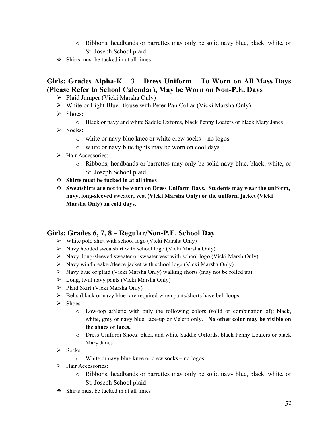- o Ribbons, headbands or barrettes may only be solid navy blue, black, white, or St. Joseph School plaid
- $\div$  Shirts must be tucked in at all times

# **Girls: Grades Alpha-K – 3 – Dress Uniform – To Worn on All Mass Days (Please Refer to School Calendar), May be Worn on Non-P.E. Days**

- $\triangleright$  Plaid Jumper (Vicki Marsha Only)
- Ø White or Light Blue Blouse with Peter Pan Collar (Vicki Marsha Only)
- $\triangleright$  Shoes:
	- o Black or navy and white Saddle Oxfords, black Penny Loafers or black Mary Janes
- $\triangleright$  Socks:
	- o white or navy blue knee or white crew socks no logos
	- o white or navy blue tights may be worn on cool days
- Ø Hair Accessories:
	- o Ribbons, headbands or barrettes may only be solid navy blue, black, white, or St. Joseph School plaid
- v **Shirts must be tucked in at all times**
- v **Sweatshirts are not to be worn on Dress Uniform Days. Students may wear the uniform, navy, long-sleeved sweater, vest (Vicki Marsha Only) or the uniform jacket (Vicki Marsha Only) on cold days.**

# **Girls: Grades 6, 7, 8 – Regular/Non-P.E. School Day**

- $\triangleright$  White polo shirt with school logo (Vicki Marsha Only)
- $\triangleright$  Navy hooded sweatshirt with school logo (Vicki Marsha Only)
- $\triangleright$  Navy, long-sleeved sweater or sweater vest with school logo (Vicki Marsh Only)
- $\triangleright$  Navy windbreaker/fleece jacket with school logo (Vicki Marsha Only)
- $\triangleright$  Navy blue or plaid (Vicki Marsha Only) walking shorts (may not be rolled up).
- $\triangleright$  Long, twill navy pants (Vicki Marsha Only)
- $\triangleright$  Plaid Skirt (Vicki Marsha Only)
- $\triangleright$  Belts (black or navy blue) are required when pants/shorts have belt loops
- > Shoes:
	- o Low-top athletic with only the following colors (solid or combination of): black, white, grey or navy blue, lace-up or Velcro only. **No other color may be visible on the shoes or laces.**
	- o Dress Uniform Shoes: black and white Saddle Oxfords, black Penny Loafers or black Mary Janes
- $\triangleright$  Socks:
	- o White or navy blue knee or crew socks no logos
- $\triangleright$  Hair Accessories:
	- o Ribbons, headbands or barrettes may only be solid navy blue, black, white, or St. Joseph School plaid
- $\div$  Shirts must be tucked in at all times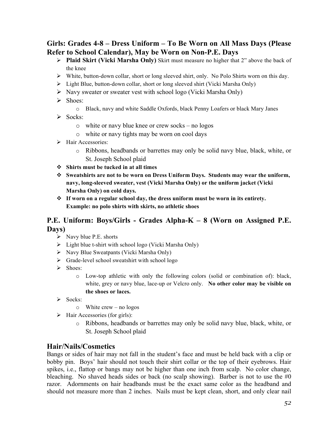# **Girls: Grades 4-8 – Dress Uniform – To Be Worn on All Mass Days (Please Refer to School Calendar), May be Worn on Non-P.E. Days**

- Ø **Plaid Skirt (Vicki Marsha Only)** Skirt must measure no higher that 2" above the back of the knee
- $\triangleright$  White, button-down collar, short or long sleeved shirt, only. No Polo Shirts worn on this day.
- $\triangleright$  Light Blue, button-down collar, short or long sleeved shirt (Vicki Marsha Only)
- $\triangleright$  Navy sweater or sweater vest with school logo (Vicki Marsha Only)
- $\triangleright$  Shoes:
	- o Black, navy and white Saddle Oxfords, black Penny Loafers or black Mary Janes
- $\triangleright$  Socks:
	- o white or navy blue knee or crew socks no logos
	- o white or navy tights may be worn on cool days
- Ø Hair Accessories:
	- o Ribbons, headbands or barrettes may only be solid navy blue, black, white, or St. Joseph School plaid
- v **Shirts must be tucked in at all times**
- v **Sweatshirts are not to be worn on Dress Uniform Days. Students may wear the uniform, navy, long-sleeved sweater, vest (Vicki Marsha Only) or the uniform jacket (Vicki Marsha Only) on cold days.**
- $\diamond$  If worn on a regular school day, the dress uniform must be worn in its entirety. **Example: no polo shirts with skirts, no athletic shoes**

# **P.E. Uniform: Boys/Girls - Grades Alpha-K – 8 (Worn on Assigned P.E. Days)**

- $\triangleright$  Navy blue P.E. shorts
- $\triangleright$  Light blue t-shirt with school logo (Vicki Marsha Only)
- $\triangleright$  Navy Blue Sweatpants (Vicki Marsha Only)
- $\triangleright$  Grade-level school sweatshirt with school logo
- $\triangleright$  Shoes:
	- o Low-top athletic with only the following colors (solid or combination of): black, white, grey or navy blue, lace-up or Velcro only. **No other color may be visible on the shoes or laces.**
- $\triangleright$  Socks:
	- o White crew no logos
- $\triangleright$  Hair Accessories (for girls):
	- o Ribbons, headbands or barrettes may only be solid navy blue, black, white, or St. Joseph School plaid

#### **Hair/Nails/Cosmetics**

Bangs or sides of hair may not fall in the student's face and must be held back with a clip or bobby pin. Boys' hair should not touch their shirt collar or the top of their eyebrows. Hair spikes, i.e., flattop or bangs may not be higher than one inch from scalp. No color change, bleaching. No shaved heads sides or back (no scalp showing). Barber is not to use the  $#0$ razor. Adornments on hair headbands must be the exact same color as the headband and should not measure more than 2 inches. Nails must be kept clean, short, and only clear nail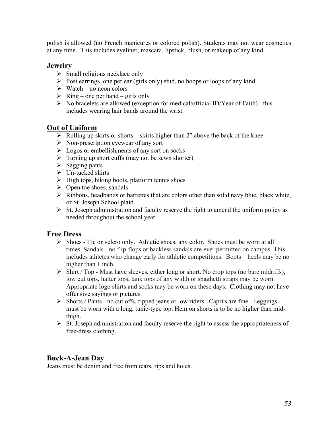polish is allowed (no French manicures or colored polish). Students may not wear cosmetics at any time. This includes eyeliner, mascara, lipstick, blush, or makeup of any kind.

# **Jewelry**

- $\triangleright$  Small religious necklace only
- $\triangleright$  Post earrings, one per ear (girls only) stud, no hoops or loops of any kind
- $\triangleright$  Watch no neon colors
- $\triangleright$  Ring one per hand girls only
- $\triangleright$  No bracelets are allowed (exception for medical/official ID/Year of Faith) this includes wearing hair bands around the wrist.

# **Out of Uniform**

- $\triangleright$  Rolling up skirts or shorts skirts higher than 2" above the back of the knee
- $\triangleright$  Non-prescription eyewear of any sort
- $\triangleright$  Logos or embellishments of any sort on socks
- $\triangleright$  Turning up short cuffs (may not be sewn shorter)
- $\triangleright$  Sagging pants
- $\triangleright$  Un-tucked shirts
- $\triangleright$  High tops, hiking boots, platform tennis shoes
- $\triangleright$  Open toe shoes, sandals
- $\triangleright$  Ribbons, headbands or barrettes that are colors other than solid navy blue, black white, or St. Joseph School plaid
- $\triangleright$  St. Joseph administration and faculty reserve the right to amend the uniform policy as needed throughout the school year

# **Free Dress**

- $\triangleright$  Shoes Tie or velcro only. Athletic shoes, any color. Shoes must be worn at all times. Sandals - no flip-flops or backless sandals are ever permitted on campus. This includes athletes who change early for athletic competitions. Boots – heels may be no higher than 1 inch.
- $\triangleright$  Shirt / Top Must have sleeves, either long or short. No crop tops (no bare midriffs), low cut tops, halter tops, tank tops of any width or spaghetti straps may be worn. Appropriate logo shirts and socks may be worn on these days. Clothing may not have offensive sayings or pictures.
- $\triangleright$  Shorts / Pants no cut offs, ripped jeans or low riders. Capri's are fine. Leggings must be worn with a long, tunic-type top. Hem on shorts is to be no higher than midthigh.
- $\triangleright$  St. Joseph administration and faculty reserve the right to assess the appropriateness of free-dress clothing.

# **Buck-A-Jean Day**

Jeans must be denim and free from tears, rips and holes.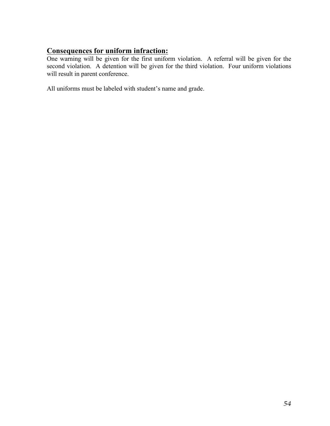# **Consequences for uniform infraction:**

One warning will be given for the first uniform violation. A referral will be given for the second violation. A detention will be given for the third violation. Four uniform violations will result in parent conference.

All uniforms must be labeled with student's name and grade.